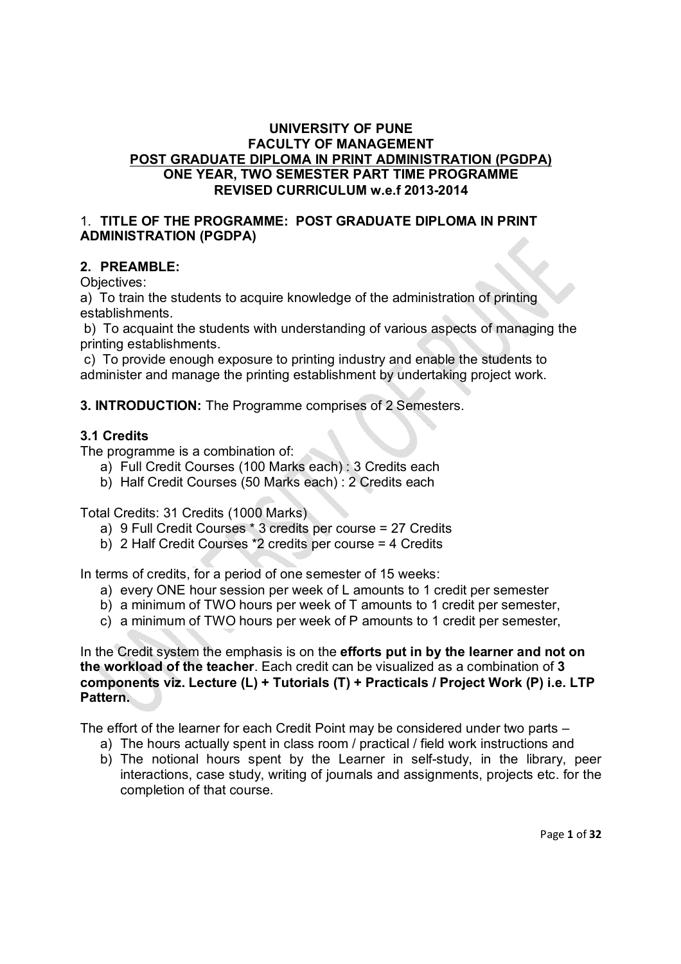#### **UNIVERSITY OF PUNE FACULTY OF MANAGEMENT POST GRADUATE DIPLOMA IN PRINT ADMINISTRATION (PGDPA) ONE YEAR, TWO SEMESTER PART TIME PROGRAMME REVISED CURRICULUM w.e.f 2013-2014**

#### 1. **TITLE OF THE PROGRAMME: POST GRADUATE DIPLOMA IN PRINT ADMINISTRATION (PGDPA)**

### **2. PREAMBLE:**

Objectives:

a) To train the students to acquire knowledge of the administration of printing establishments.

b) To acquaint the students with understanding of various aspects of managing the printing establishments.

c) To provide enough exposure to printing industry and enable the students to administer and manage the printing establishment by undertaking project work.

**3. INTRODUCTION:** The Programme comprises of 2 Semesters.

#### **3.1 Credits**

The programme is a combination of:

- a) Full Credit Courses (100 Marks each) : 3 Credits each
- b) Half Credit Courses (50 Marks each) : 2 Credits each

Total Credits: 31 Credits (1000 Marks)

- a) 9 Full Credit Courses \* 3 credits per course = 27 Credits
- b) 2 Half Credit Courses \*2 credits per course = 4 Credits

In terms of credits, for a period of one semester of 15 weeks:

- a) every ONE hour session per week of L amounts to 1 credit per semester
- b) a minimum of TWO hours per week of T amounts to 1 credit per semester,
- c) a minimum of TWO hours per week of P amounts to 1 credit per semester,

In the Credit system the emphasis is on the **efforts put in by the learner and not on the workload of the teacher**. Each credit can be visualized as a combination of **3 components viz. Lecture (L) + Tutorials (T) + Practicals / Project Work (P) i.e. LTP Pattern.** 

The effort of the learner for each Credit Point may be considered under two parts –

- a) The hours actually spent in class room / practical / field work instructions and
- b) The notional hours spent by the Learner in self-study, in the library, peer interactions, case study, writing of journals and assignments, projects etc. for the completion of that course.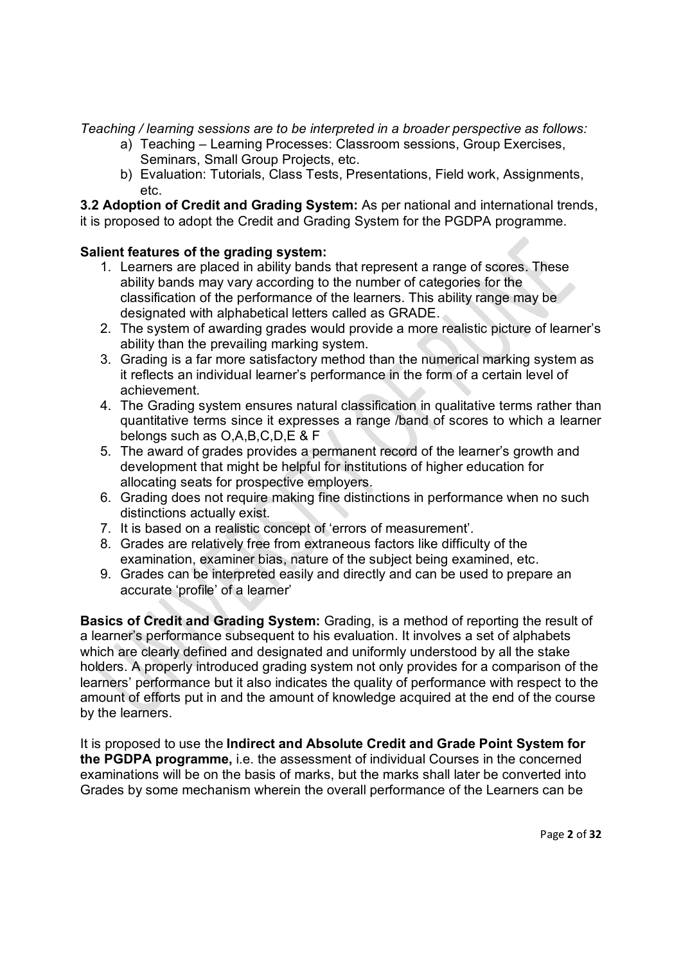*Teaching / learning sessions are to be interpreted in a broader perspective as follows:* 

- a) Teaching Learning Processes: Classroom sessions, Group Exercises, Seminars, Small Group Projects, etc.
- b) Evaluation: Tutorials, Class Tests, Presentations, Field work, Assignments, etc.

**3.2 Adoption of Credit and Grading System:** As per national and international trends, it is proposed to adopt the Credit and Grading System for the PGDPA programme.

## **Salient features of the grading system:**

- 1. Learners are placed in ability bands that represent a range of scores. These ability bands may vary according to the number of categories for the classification of the performance of the learners. This ability range may be designated with alphabetical letters called as GRADE.
- 2. The system of awarding grades would provide a more realistic picture of learner's ability than the prevailing marking system.
- 3. Grading is a far more satisfactory method than the numerical marking system as it reflects an individual learner's performance in the form of a certain level of achievement.
- 4. The Grading system ensures natural classification in qualitative terms rather than quantitative terms since it expresses a range /band of scores to which a learner belongs such as O,A,B,C,D,E & F
- 5. The award of grades provides a permanent record of the learner's growth and development that might be helpful for institutions of higher education for allocating seats for prospective employers.
- 6. Grading does not require making fine distinctions in performance when no such distinctions actually exist.
- 7. It is based on a realistic concept of 'errors of measurement'.
- 8. Grades are relatively free from extraneous factors like difficulty of the examination, examiner bias, nature of the subject being examined, etc.
- 9. Grades can be interpreted easily and directly and can be used to prepare an accurate 'profile' of a learner'

**Basics of Credit and Grading System:** Grading, is a method of reporting the result of a learner's performance subsequent to his evaluation. It involves a set of alphabets which are clearly defined and designated and uniformly understood by all the stake holders. A properly introduced grading system not only provides for a comparison of the learners' performance but it also indicates the quality of performance with respect to the amount of efforts put in and the amount of knowledge acquired at the end of the course by the learners.

It is proposed to use the **Indirect and Absolute Credit and Grade Point System for the PGDPA programme,** i.e. the assessment of individual Courses in the concerned examinations will be on the basis of marks, but the marks shall later be converted into Grades by some mechanism wherein the overall performance of the Learners can be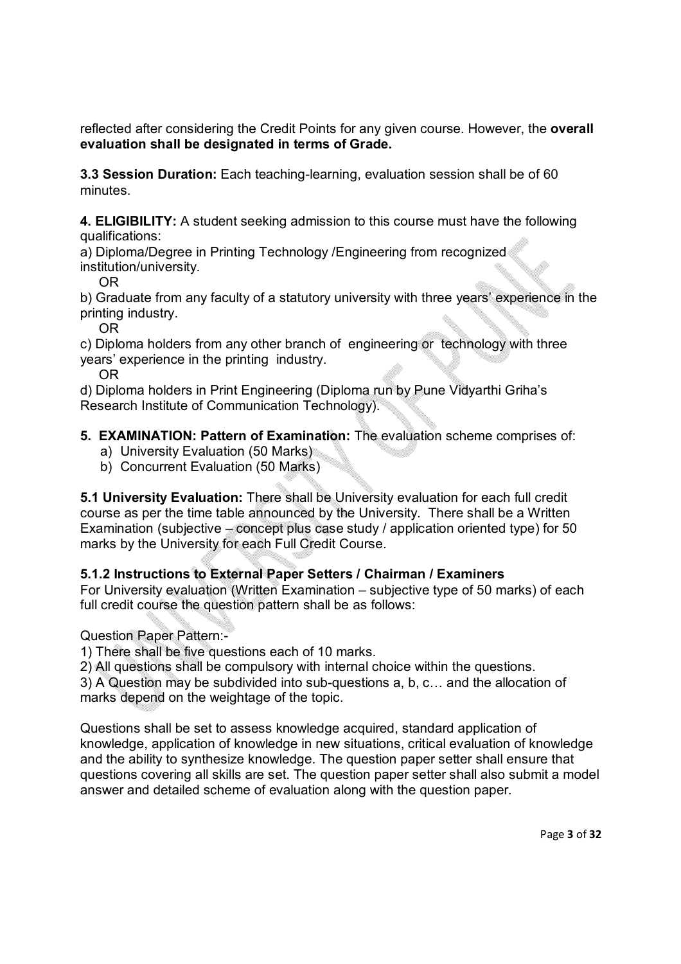reflected after considering the Credit Points for any given course. However, the **overall evaluation shall be designated in terms of Grade.**

**3.3 Session Duration:** Each teaching-learning, evaluation session shall be of 60 minutes.

**4. ELIGIBILITY:** A student seeking admission to this course must have the following qualifications:

a) Diploma/Degree in Printing Technology /Engineering from recognized institution/university.

OR

b) Graduate from any faculty of a statutory university with three years' experience in the printing industry.

OR

c) Diploma holders from any other branch of engineering or technology with three years' experience in the printing industry.

OR

d) Diploma holders in Print Engineering (Diploma run by Pune Vidyarthi Griha's Research Institute of Communication Technology).

## **5. EXAMINATION: Pattern of Examination:** The evaluation scheme comprises of:

- a) University Evaluation (50 Marks)
- b) Concurrent Evaluation (50 Marks)

**5.1 University Evaluation:** There shall be University evaluation for each full credit course as per the time table announced by the University. There shall be a Written Examination (subjective – concept plus case study / application oriented type) for 50 marks by the University for each Full Credit Course.

### **5.1.2 Instructions to External Paper Setters / Chairman / Examiners**

For University evaluation (Written Examination – subjective type of 50 marks) of each full credit course the question pattern shall be as follows:

Question Paper Pattern:-

1) There shall be five questions each of 10 marks.

2) All questions shall be compulsory with internal choice within the questions.

3) A Question may be subdivided into sub-questions a, b, c… and the allocation of marks depend on the weightage of the topic.

Questions shall be set to assess knowledge acquired, standard application of knowledge, application of knowledge in new situations, critical evaluation of knowledge and the ability to synthesize knowledge. The question paper setter shall ensure that questions covering all skills are set. The question paper setter shall also submit a model answer and detailed scheme of evaluation along with the question paper.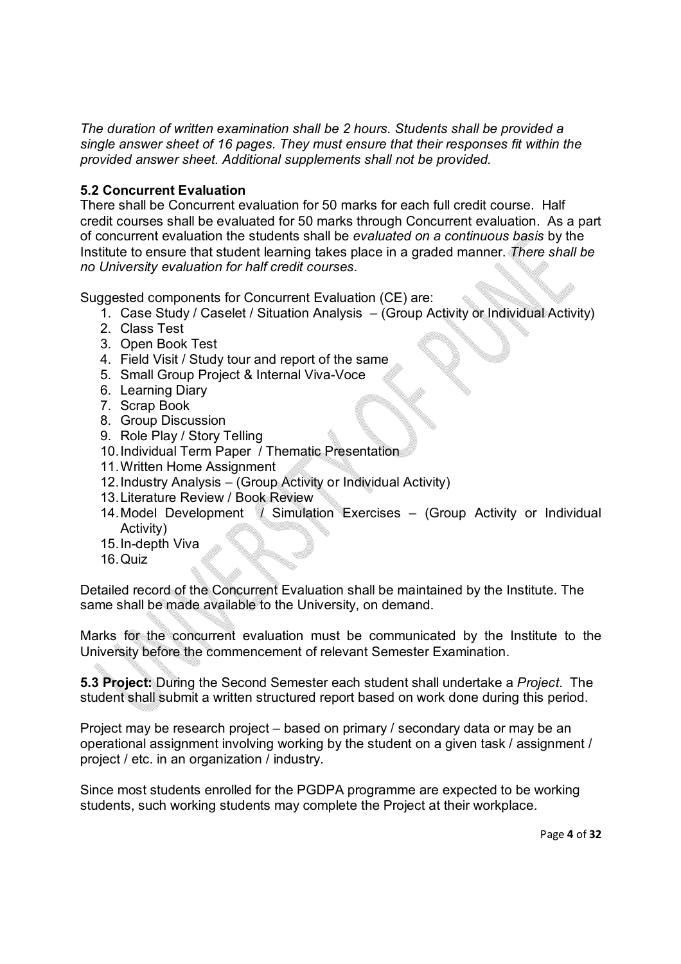*The duration of written examination shall be 2 hours. Students shall be provided a single answer sheet of 16 pages. They must ensure that their responses fit within the provided answer sheet. Additional supplements shall not be provided.*

## **5.2 Concurrent Evaluation**

There shall be Concurrent evaluation for 50 marks for each full credit course. Half credit courses shall be evaluated for 50 marks through Concurrent evaluation. As a part of concurrent evaluation the students shall be *evaluated on a continuous basis* by the Institute to ensure that student learning takes place in a graded manner. *There shall be no University evaluation for half credit courses*.

Suggested components for Concurrent Evaluation (CE) are:

- 1. Case Study / Caselet / Situation Analysis (Group Activity or Individual Activity)
- 2. Class Test
- 3. Open Book Test
- 4. Field Visit / Study tour and report of the same
- 5. Small Group Project & Internal Viva-Voce
- 6. Learning Diary
- 7. Scrap Book
- 8. Group Discussion
- 9. Role Play / Story Telling
- 10.Individual Term Paper / Thematic Presentation
- 11.Written Home Assignment
- 12.Industry Analysis (Group Activity or Individual Activity)
- 13.Literature Review / Book Review
- 14.Model Development / Simulation Exercises (Group Activity or Individual Activity)
- 15.In-depth Viva
- 16.Quiz

Detailed record of the Concurrent Evaluation shall be maintained by the Institute. The same shall be made available to the University, on demand.

Marks for the concurrent evaluation must be communicated by the Institute to the University before the commencement of relevant Semester Examination.

**5.3 Project:** During the Second Semester each student shall undertake a *Project*. The student shall submit a written structured report based on work done during this period.

Project may be research project – based on primary / secondary data or may be an operational assignment involving working by the student on a given task / assignment / project / etc. in an organization / industry.

Since most students enrolled for the PGDPA programme are expected to be working students, such working students may complete the Project at their workplace.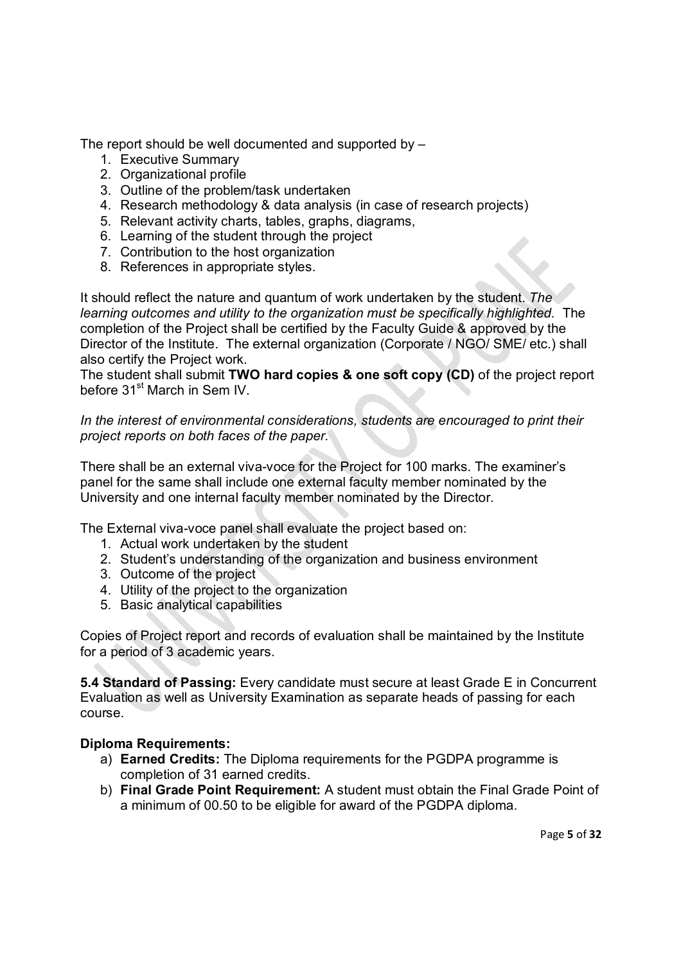The report should be well documented and supported by –

- 1. Executive Summary
- 2. Organizational profile
- 3. Outline of the problem/task undertaken
- 4. Research methodology & data analysis (in case of research projects)
- 5. Relevant activity charts, tables, graphs, diagrams,
- 6. Learning of the student through the project
- 7. Contribution to the host organization
- 8. References in appropriate styles.

It should reflect the nature and quantum of work undertaken by the student. *The learning outcomes and utility to the organization must be specifically highlighted.* The completion of the Project shall be certified by the Faculty Guide & approved by the Director of the Institute. The external organization (Corporate / NGO/ SME/ etc.) shall also certify the Project work.

The student shall submit **TWO hard copies & one soft copy (CD)** of the project report before 31<sup>st</sup> March in Sem IV.

*In the interest of environmental considerations, students are encouraged to print their project reports on both faces of the paper.*

There shall be an external viva-voce for the Project for 100 marks. The examiner's panel for the same shall include one external faculty member nominated by the University and one internal faculty member nominated by the Director.

The External viva-voce panel shall evaluate the project based on:

- 1. Actual work undertaken by the student
- 2. Student's understanding of the organization and business environment
- 3. Outcome of the project
- 4. Utility of the project to the organization
- 5. Basic analytical capabilities

Copies of Project report and records of evaluation shall be maintained by the Institute for a period of 3 academic years.

**5.4 Standard of Passing:** Every candidate must secure at least Grade E in Concurrent Evaluation as well as University Examination as separate heads of passing for each course.

### **Diploma Requirements:**

- a) **Earned Credits:** The Diploma requirements for the PGDPA programme is completion of 31 earned credits.
- b) **Final Grade Point Requirement:** A student must obtain the Final Grade Point of a minimum of 00.50 to be eligible for award of the PGDPA diploma.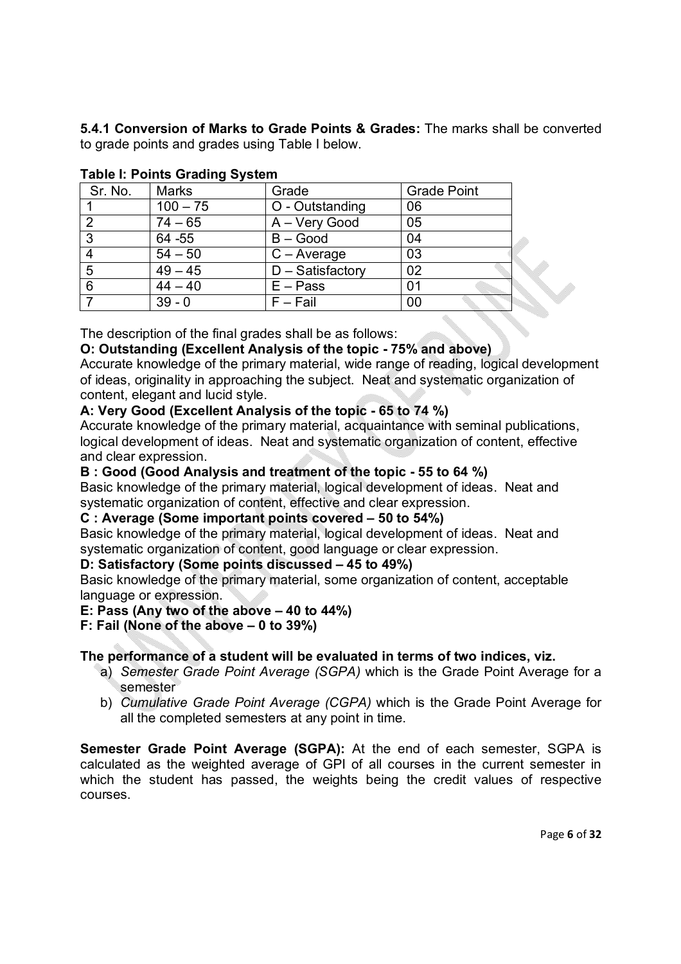**5.4.1 Conversion of Marks to Grade Points & Grades:** The marks shall be converted to grade points and grades using Table I below.

| Sr. No. | <b>Marks</b> | Grade               | <b>Grade Point</b> |
|---------|--------------|---------------------|--------------------|
|         | $100 - 75$   | O - Outstanding     | 06                 |
| 2       | $74 - 65$    | A - Very Good       | 05                 |
| 3       | 64 - 55      | $B - Good$          | 04                 |
|         | $54 - 50$    | $C - Average$       | 03                 |
| 5       | $49 - 45$    | $D - S$ atisfactory | 02                 |
| 6       | $44 - 40$    | $E - Pass$          | 01                 |
|         | $39 - 0$     | $F - Fail$          | 00                 |

## **Table I: Points Grading System**

The description of the final grades shall be as follows:

## **O: Outstanding (Excellent Analysis of the topic - 75% and above)**

Accurate knowledge of the primary material, wide range of reading, logical development of ideas, originality in approaching the subject. Neat and systematic organization of content, elegant and lucid style.

## **A: Very Good (Excellent Analysis of the topic - 65 to 74 %)**

Accurate knowledge of the primary material, acquaintance with seminal publications, logical development of ideas. Neat and systematic organization of content, effective and clear expression.

### **B : Good (Good Analysis and treatment of the topic - 55 to 64 %)**

Basic knowledge of the primary material, logical development of ideas. Neat and systematic organization of content, effective and clear expression.

### **C : Average (Some important points covered – 50 to 54%)**

Basic knowledge of the primary material, logical development of ideas. Neat and systematic organization of content, good language or clear expression.

### **D: Satisfactory (Some points discussed – 45 to 49%)**

Basic knowledge of the primary material, some organization of content, acceptable language or expression.

### **E: Pass (Any two of the above – 40 to 44%)**

### **F: Fail (None of the above – 0 to 39%)**

## **The performance of a student will be evaluated in terms of two indices, viz.**

- a) *Semester Grade Point Average (SGPA)* which is the Grade Point Average for a semester
- b) *Cumulative Grade Point Average (CGPA)* which is the Grade Point Average for all the completed semesters at any point in time.

**Semester Grade Point Average (SGPA):** At the end of each semester, SGPA is calculated as the weighted average of GPI of all courses in the current semester in which the student has passed, the weights being the credit values of respective courses.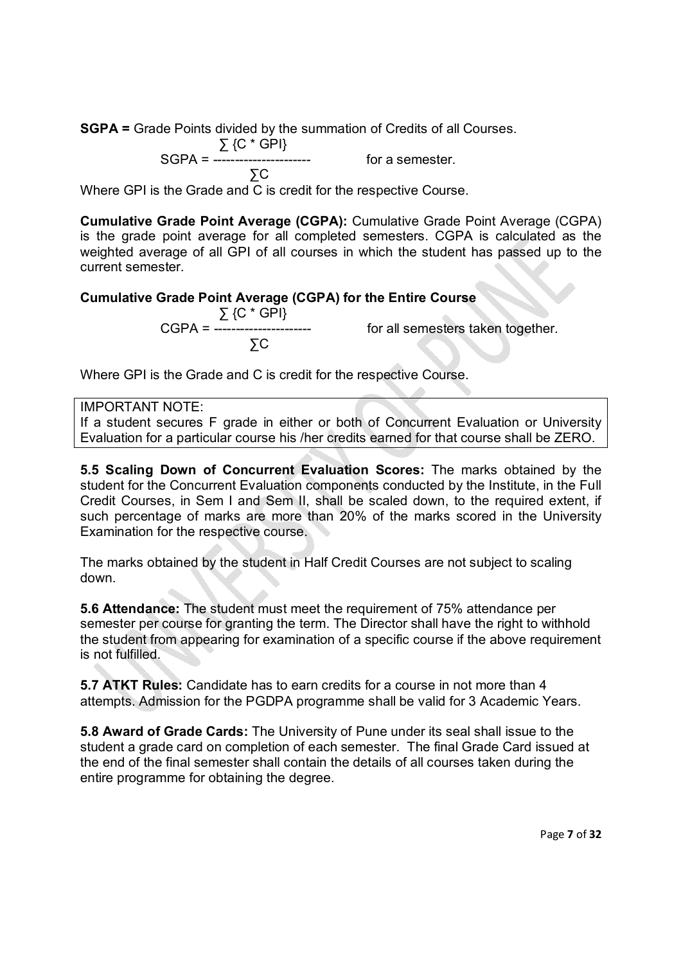**SGPA =** Grade Points divided by the summation of Credits of all Courses.

$$
\Sigma \, \{C^* \, \text{GPI}\}
$$

SGPA = ---------------------- for a semester.

$$
\sum C
$$

Where GPI is the Grade and C is credit for the respective Course.

**Cumulative Grade Point Average (CGPA):** Cumulative Grade Point Average (CGPA) is the grade point average for all completed semesters. CGPA is calculated as the weighted average of all GPI of all courses in which the student has passed up to the current semester.

## **Cumulative Grade Point Average (CGPA) for the Entire Course**

 ∑ {C \* GPI} ∑C

for all semesters taken together.

Where GPI is the Grade and C is credit for the respective Course.

## IMPORTANT NOTE:

If a student secures F grade in either or both of Concurrent Evaluation or University Evaluation for a particular course his /her credits earned for that course shall be ZERO.

**5.5 Scaling Down of Concurrent Evaluation Scores:** The marks obtained by the student for the Concurrent Evaluation components conducted by the Institute, in the Full Credit Courses, in Sem I and Sem II, shall be scaled down, to the required extent, if such percentage of marks are more than 20% of the marks scored in the University Examination for the respective course.

The marks obtained by the student in Half Credit Courses are not subject to scaling down.

**5.6 Attendance:** The student must meet the requirement of 75% attendance per semester per course for granting the term. The Director shall have the right to withhold the student from appearing for examination of a specific course if the above requirement is not fulfilled.

**5.7 ATKT Rules:** Candidate has to earn credits for a course in not more than 4 attempts. Admission for the PGDPA programme shall be valid for 3 Academic Years.

**5.8 Award of Grade Cards:** The University of Pune under its seal shall issue to the student a grade card on completion of each semester. The final Grade Card issued at the end of the final semester shall contain the details of all courses taken during the entire programme for obtaining the degree.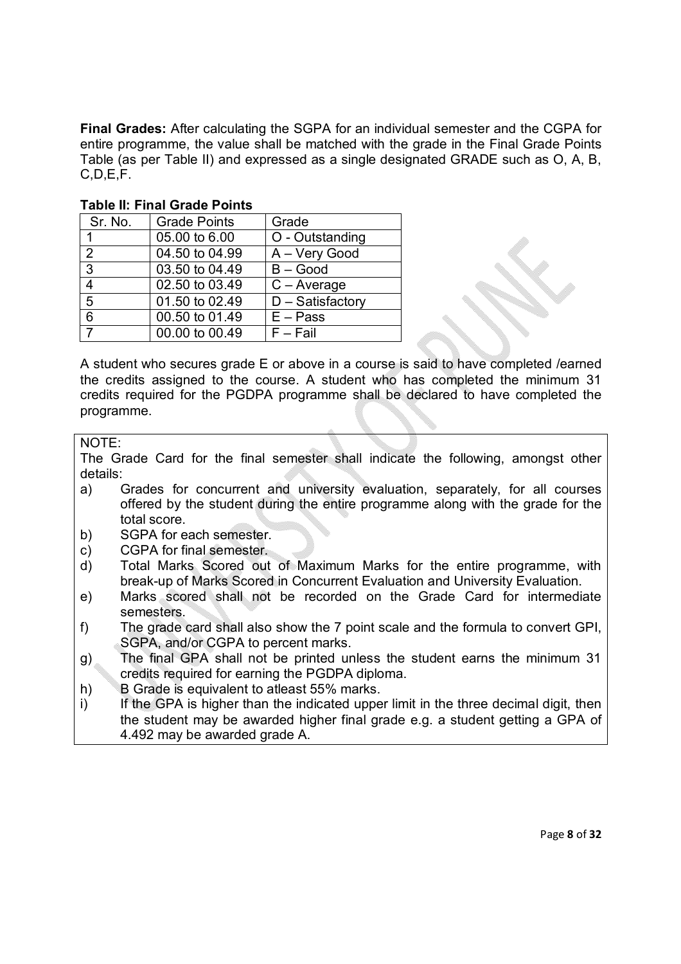**Final Grades:** After calculating the SGPA for an individual semester and the CGPA for entire programme, the value shall be matched with the grade in the Final Grade Points Table (as per Table II) and expressed as a single designated GRADE such as O, A, B, C,D,E,F.

| Sr. No.        | <b>Grade Points</b> | Grade                         |
|----------------|---------------------|-------------------------------|
|                | 05.00 to 6.00       | O - Outstanding               |
| 2              | 04.50 to 04.99      | A - Very Good                 |
| $\mathbf{3}$   | 03.50 to 04.49      | $B - Good$                    |
| 4              | 02.50 to 03.49      | $C - Average$                 |
| 5              | 01.50 to 02.49      | $\overline{D}$ – Satisfactory |
| 6              | 00.50 to 01.49      | $E - Pass$                    |
| $\overline{7}$ | 00.00 to 00.49      | $F - Fail$                    |

#### **Table II: Final Grade Points**

A student who secures grade E or above in a course is said to have completed /earned the credits assigned to the course. A student who has completed the minimum 31 credits required for the PGDPA programme shall be declared to have completed the programme.

#### NOTE:

The Grade Card for the final semester shall indicate the following, amongst other details:

- a) Grades for concurrent and university evaluation, separately, for all courses offered by the student during the entire programme along with the grade for the total score.
- b) SGPA for each semester.
- c) CGPA for final semester.
- d) Total Marks Scored out of Maximum Marks for the entire programme, with break-up of Marks Scored in Concurrent Evaluation and University Evaluation.
- e) Marks scored shall not be recorded on the Grade Card for intermediate semesters.
- f) The grade card shall also show the 7 point scale and the formula to convert GPI, SGPA, and/or CGPA to percent marks.
- g) The final GPA shall not be printed unless the student earns the minimum 31 credits required for earning the PGDPA diploma.
- h) B Grade is equivalent to atleast 55% marks.
- i) If the GPA is higher than the indicated upper limit in the three decimal digit, then the student may be awarded higher final grade e.g. a student getting a GPA of 4.492 may be awarded grade A.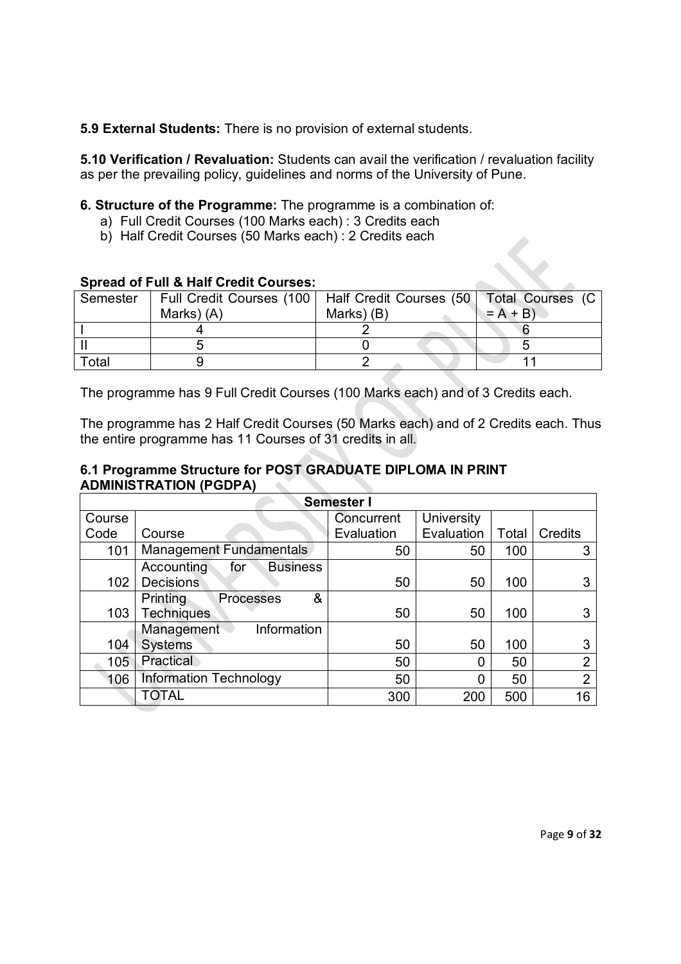**5.9 External Students:** There is no provision of external students.

**5.10 Verification / Revaluation:** Students can avail the verification / revaluation facility as per the prevailing policy, guidelines and norms of the University of Pune.

**6. Structure of the Programme:** The programme is a combination of:

- a) Full Credit Courses (100 Marks each) : 3 Credits each
- b) Half Credit Courses (50 Marks each) : 2 Credits each

## **Spread of Full & Half Credit Courses:**

| Semester | Full Credit Courses (100   Half Credit Courses (50   Total Courses (C |            |           |  |
|----------|-----------------------------------------------------------------------|------------|-----------|--|
|          | Marks) (A)                                                            | Marks) (B) | $= A + B$ |  |
|          |                                                                       |            |           |  |
|          |                                                                       |            |           |  |
| Total    |                                                                       |            | ,,,,,,,,, |  |

The programme has 9 Full Credit Courses (100 Marks each) and of 3 Credits each.

The programme has 2 Half Credit Courses (50 Marks each) and of 2 Credits each. Thus the entire programme has 11 Courses of 31 credits in all.

#### **6.1 Programme Structure for POST GRADUATE DIPLOMA IN PRINT ADMINISTRATION (PGDPA)** V.

|        | Semester I                           |            |            |       |                |
|--------|--------------------------------------|------------|------------|-------|----------------|
| Course |                                      | Concurrent | University |       |                |
| Code   | Course                               | Evaluation | Evaluation | Total | <b>Credits</b> |
| 101    | <b>Management Fundamentals</b>       | 50         | 50         | 100   | 3              |
|        | <b>Business</b><br>Accounting<br>for |            |            |       |                |
| 102    | <b>Decisions</b>                     | 50         | 50         | 100   |                |
|        | Printing<br>&<br><b>Processes</b>    |            |            |       |                |
| 103    | <b>Techniques</b>                    | 50         | 50         | 100   | 3              |
|        | Management<br>Information            |            |            |       |                |
| 104    | <b>Systems</b>                       | 50         | 50         | 100   | 3              |
| 105    | Practical                            | 50         | 0          | 50    | $\overline{2}$ |
| 106    | <b>Information Technology</b>        | 50         | 0          | 50    | $\overline{2}$ |
|        | TOTAL                                | 300        | 200        | 500   | 16             |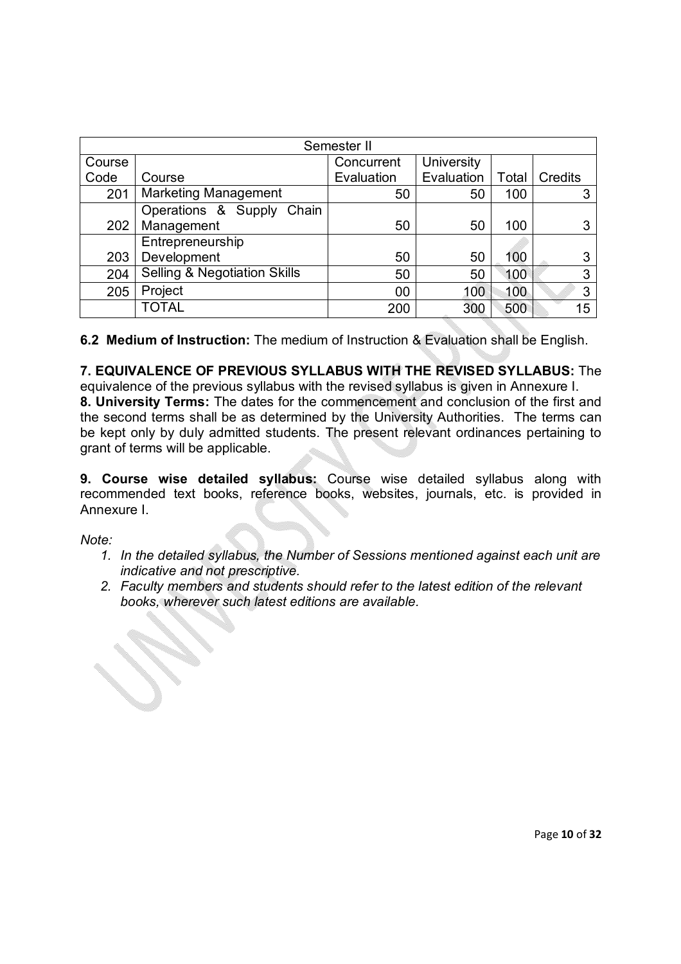|        | Semester II                             |            |            |       |         |
|--------|-----------------------------------------|------------|------------|-------|---------|
| Course |                                         | Concurrent | University |       |         |
| Code   | Course                                  | Evaluation | Evaluation | Total | Credits |
| 201    | <b>Marketing Management</b>             | 50         | 50         | 100   | 3       |
|        | Operations & Supply Chain               |            |            |       |         |
| 202    | Management                              | 50         | 50         | 100   | 3       |
|        | Entrepreneurship                        |            |            |       |         |
| 203    | Development                             | 50         | 50         | 100   | 3       |
| 204    | <b>Selling &amp; Negotiation Skills</b> | 50         | 50         | 100   | 3       |
| 205    | Project                                 | 00         | 100        | 100   | 3       |
|        | <b>TOTAL</b>                            | 200        | 300        | 500   | 15      |

**6.2 Medium of Instruction:** The medium of Instruction & Evaluation shall be English.

**7. EQUIVALENCE OF PREVIOUS SYLLABUS WITH THE REVISED SYLLABUS:** The

equivalence of the previous syllabus with the revised syllabus is given in Annexure I. **8. University Terms:** The dates for the commencement and conclusion of the first and the second terms shall be as determined by the University Authorities. The terms can be kept only by duly admitted students. The present relevant ordinances pertaining to grant of terms will be applicable.

**9. Course wise detailed syllabus:** Course wise detailed syllabus along with recommended text books, reference books, websites, journals, etc. is provided in Annexure I.

*Note:* 

- *1. In the detailed syllabus, the Number of Sessions mentioned against each unit are indicative and not prescriptive.*
- *2. Faculty members and students should refer to the latest edition of the relevant books, wherever such latest editions are available.*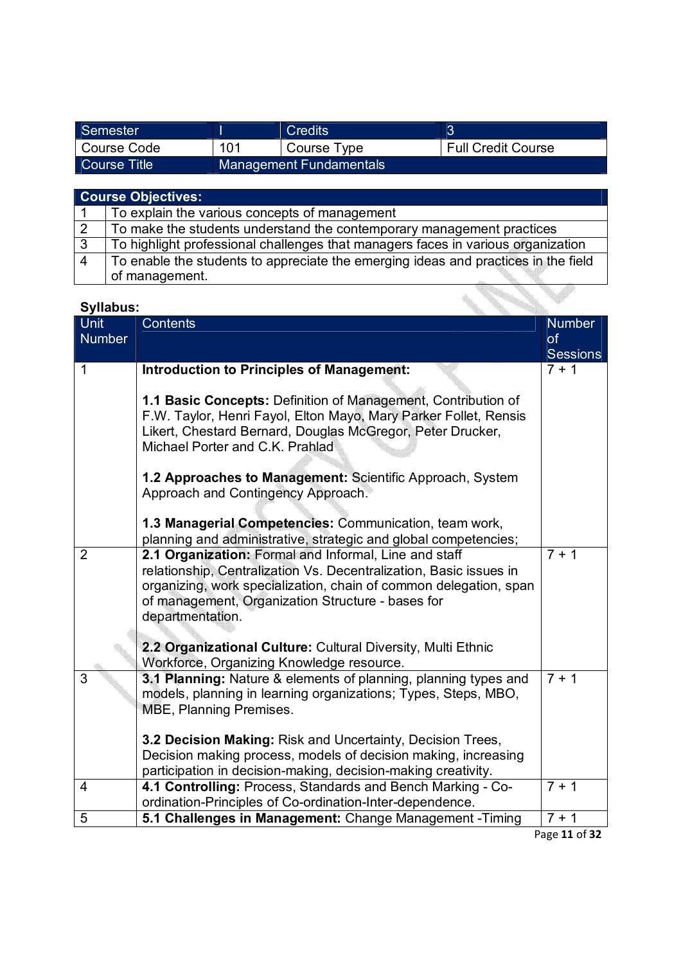| Semester     |     | Credits                        |                           |
|--------------|-----|--------------------------------|---------------------------|
| Course Code  | 101 | Course Type                    | <b>Full Credit Course</b> |
| Course Title |     | <b>Management Fundamentals</b> |                           |

|   | <b>Course Objectives:</b>                                                          |
|---|------------------------------------------------------------------------------------|
|   | To explain the various concepts of management                                      |
| 2 | To make the students understand the contemporary management practices              |
| 3 | To highlight professional challenges that managers faces in various organization   |
| 4 | To enable the students to appreciate the emerging ideas and practices in the field |
|   | of management.                                                                     |
|   |                                                                                    |

| <b>Syllabus:</b>             |                                                                                                                                                                                                                                                                           |                                        |
|------------------------------|---------------------------------------------------------------------------------------------------------------------------------------------------------------------------------------------------------------------------------------------------------------------------|----------------------------------------|
| <b>Unit</b><br><b>Number</b> | <b>Contents</b>                                                                                                                                                                                                                                                           | <b>Number</b><br>of<br><b>Sessions</b> |
| 1                            | <b>Introduction to Principles of Management:</b>                                                                                                                                                                                                                          | $7 + 1$                                |
|                              | 1.1 Basic Concepts: Definition of Management, Contribution of<br>F.W. Taylor, Henri Fayol, Elton Mayo, Mary Parker Follet, Rensis<br>Likert, Chestard Bernard, Douglas McGregor, Peter Drucker,<br>Michael Porter and C.K. Prahlad                                        |                                        |
|                              | 1.2 Approaches to Management: Scientific Approach, System<br>Approach and Contingency Approach.                                                                                                                                                                           |                                        |
|                              | 1.3 Managerial Competencies: Communication, team work,<br>planning and administrative, strategic and global competencies;                                                                                                                                                 |                                        |
| $\overline{2}$               | 2.1 Organization: Formal and Informal, Line and staff<br>relationship, Centralization Vs. Decentralization, Basic issues in<br>organizing, work specialization, chain of common delegation, span<br>of management, Organization Structure - bases for<br>departmentation. | $7 + 1$                                |
|                              | 2.2 Organizational Culture: Cultural Diversity, Multi Ethnic<br>Workforce, Organizing Knowledge resource.                                                                                                                                                                 |                                        |
| 3                            | 3.1 Planning: Nature & elements of planning, planning types and<br>models, planning in learning organizations; Types, Steps, MBO,<br>MBE, Planning Premises.                                                                                                              | $7 + 1$                                |
|                              | 3.2 Decision Making: Risk and Uncertainty, Decision Trees,                                                                                                                                                                                                                |                                        |
|                              | Decision making process, models of decision making, increasing<br>participation in decision-making, decision-making creativity.                                                                                                                                           |                                        |
| $\overline{4}$               | 4.1 Controlling: Process, Standards and Bench Marking - Co-                                                                                                                                                                                                               | $7 + 1$                                |
| 5                            | ordination-Principles of Co-ordination-Inter-dependence.<br>5.1 Challenges in Management: Change Management - Timing                                                                                                                                                      | $7 + 1$                                |
|                              |                                                                                                                                                                                                                                                                           |                                        |

Page **11** of **32**

 $\checkmark$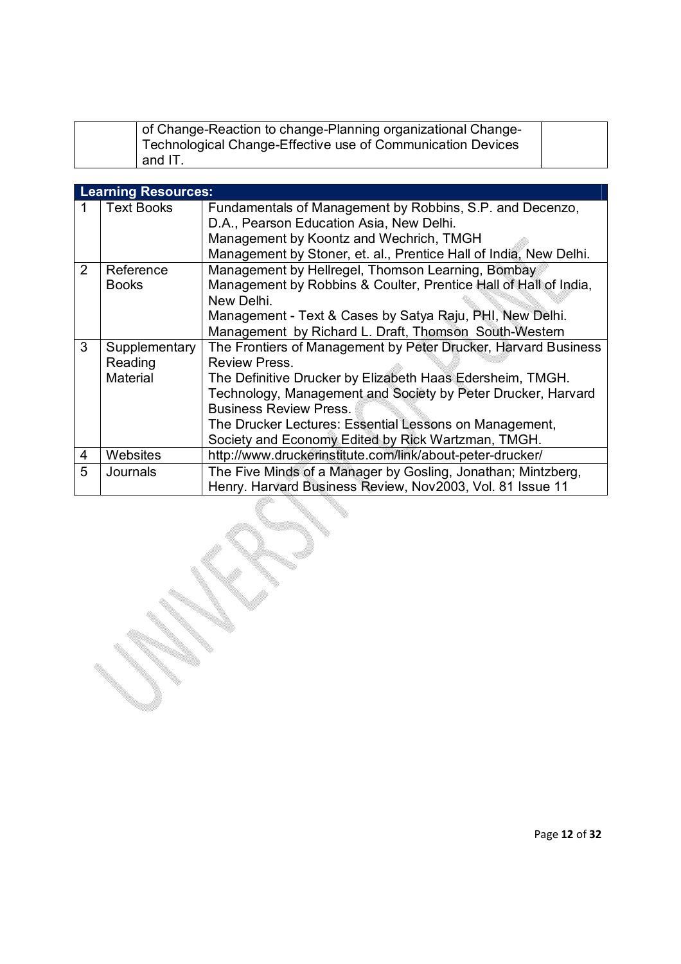| of Change-Reaction to change-Planning organizational Change-<br>Technological Change-Effective use of Communication Devices |  |
|-----------------------------------------------------------------------------------------------------------------------------|--|
| and IT.                                                                                                                     |  |

|   | <b>Learning Resources:</b> |                                                                                                                                     |
|---|----------------------------|-------------------------------------------------------------------------------------------------------------------------------------|
| 1 | <b>Text Books</b>          | Fundamentals of Management by Robbins, S.P. and Decenzo,                                                                            |
|   |                            | D.A., Pearson Education Asia, New Delhi.                                                                                            |
|   |                            | Management by Koontz and Wechrich, TMGH                                                                                             |
|   |                            | Management by Stoner, et. al., Prentice Hall of India, New Delhi.                                                                   |
| 2 | Reference<br><b>Books</b>  | Management by Hellregel, Thomson Learning, Bombay<br>Management by Robbins & Coulter, Prentice Hall of Hall of India,<br>New Delhi. |
|   |                            | Management - Text & Cases by Satya Raju, PHI, New Delhi.                                                                            |
|   |                            | Management by Richard L. Draft, Thomson South-Western                                                                               |
| 3 | Supplementary<br>Reading   | The Frontiers of Management by Peter Drucker, Harvard Business<br><b>Review Press.</b>                                              |
|   | Material                   | The Definitive Drucker by Elizabeth Haas Edersheim, TMGH.                                                                           |
|   |                            | Technology, Management and Society by Peter Drucker, Harvard                                                                        |
|   |                            | <b>Business Review Press.</b>                                                                                                       |
|   |                            | The Drucker Lectures: Essential Lessons on Management,                                                                              |
|   |                            | Society and Economy Edited by Rick Wartzman, TMGH.                                                                                  |
| 4 | Websites                   | http://www.druckerinstitute.com/link/about-peter-drucker/                                                                           |
| 5 | <b>Journals</b>            | The Five Minds of a Manager by Gosling, Jonathan; Mintzberg,<br>Henry. Harvard Business Review, Nov2003, Vol. 81 Issue 11           |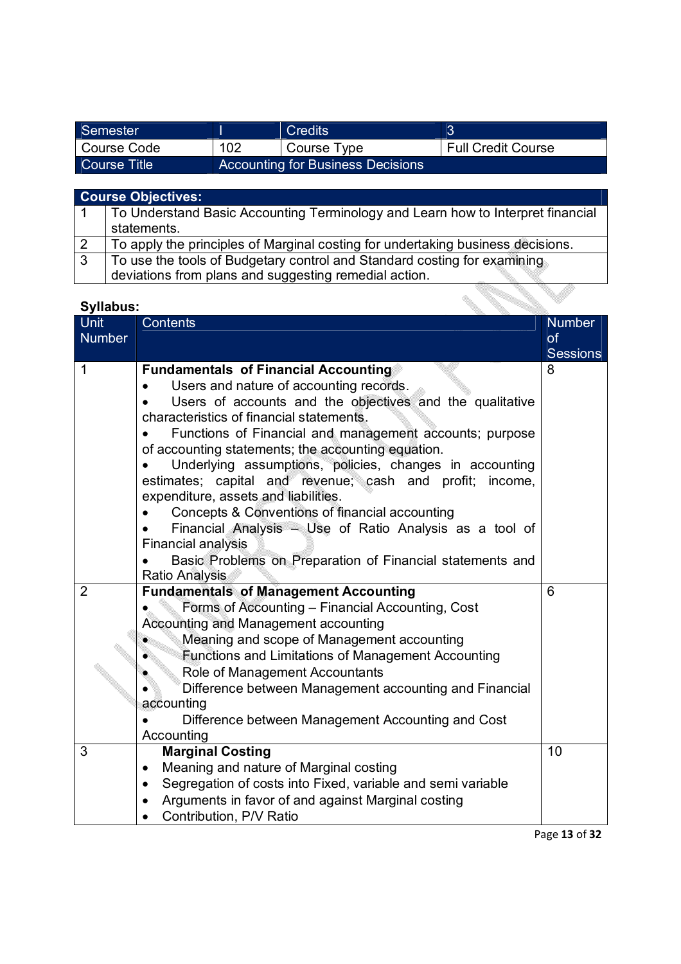| Semester     |     | Credits                                  |                           |
|--------------|-----|------------------------------------------|---------------------------|
| Course Code  | 102 | Course Type                              | <b>Full Credit Course</b> |
| Course Title |     | <b>Accounting for Business Decisions</b> |                           |

|   | <b>Course Objectives:</b>                                                       |  |  |
|---|---------------------------------------------------------------------------------|--|--|
|   | To Understand Basic Accounting Terminology and Learn how to Interpret financial |  |  |
|   | statements.                                                                     |  |  |
| 2 | To apply the principles of Marginal costing for undertaking business decisions. |  |  |
| 3 | To use the tools of Budgetary control and Standard costing for examining        |  |  |
|   | deviations from plans and suggesting remedial action.                           |  |  |

| <b>Syllabus:</b>      |                                                                                                                                                                                                                                                                                                                                                                                                                                                                                                                                                                                                                                                                                                                   |                                               |
|-----------------------|-------------------------------------------------------------------------------------------------------------------------------------------------------------------------------------------------------------------------------------------------------------------------------------------------------------------------------------------------------------------------------------------------------------------------------------------------------------------------------------------------------------------------------------------------------------------------------------------------------------------------------------------------------------------------------------------------------------------|-----------------------------------------------|
| Unit<br><b>Number</b> | <b>Contents</b>                                                                                                                                                                                                                                                                                                                                                                                                                                                                                                                                                                                                                                                                                                   | <b>Number</b><br><b>of</b><br><b>Sessions</b> |
| 1                     | <b>Fundamentals of Financial Accounting</b><br>Users and nature of accounting records.<br>Users of accounts and the objectives and the qualitative<br>characteristics of financial statements.<br>Functions of Financial and management accounts; purpose<br>of accounting statements; the accounting equation.<br>Underlying assumptions, policies, changes in accounting<br>estimates; capital and revenue; cash and profit;<br>income,<br>expenditure, assets and liabilities.<br>Concepts & Conventions of financial accounting<br>Financial Analysis - Use of Ratio Analysis as a tool of<br><b>Financial analysis</b><br>Basic Problems on Preparation of Financial statements and<br><b>Ratio Analysis</b> | 8                                             |
| $\overline{2}$        | <b>Fundamentals of Management Accounting</b><br>Forms of Accounting - Financial Accounting, Cost<br>Accounting and Management accounting<br>Meaning and scope of Management accounting<br>Functions and Limitations of Management Accounting<br>Role of Management Accountants<br>Difference between Management accounting and Financial<br>accounting<br>Difference between Management Accounting and Cost<br>Accounting                                                                                                                                                                                                                                                                                         | 6                                             |
| $\overline{3}$        | <b>Marginal Costing</b><br>Meaning and nature of Marginal costing<br>$\bullet$<br>Segregation of costs into Fixed, variable and semi variable<br>$\bullet$<br>Arguments in favor of and against Marginal costing<br>$\bullet$<br>Contribution, P/V Ratio                                                                                                                                                                                                                                                                                                                                                                                                                                                          | $\overline{10}$                               |

Page **13** of **32**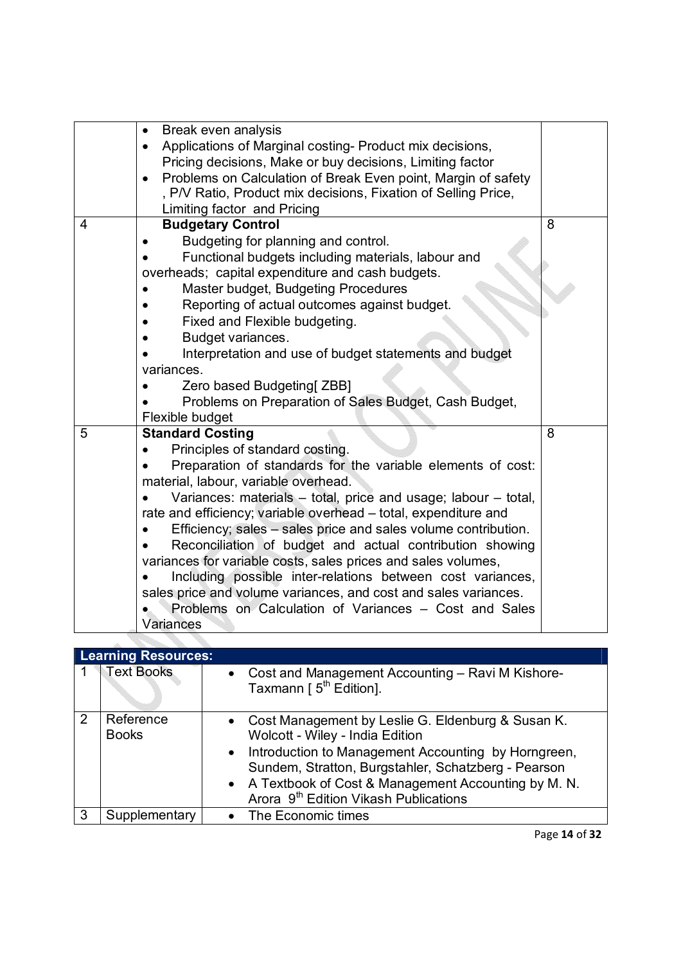|                | Break even analysis<br>$\bullet$<br>Applications of Marginal costing- Product mix decisions,<br>Pricing decisions, Make or buy decisions, Limiting factor<br>Problems on Calculation of Break Even point, Margin of safety<br>$\bullet$ |   |
|----------------|-----------------------------------------------------------------------------------------------------------------------------------------------------------------------------------------------------------------------------------------|---|
|                | , P/V Ratio, Product mix decisions, Fixation of Selling Price,                                                                                                                                                                          |   |
| $\overline{4}$ | Limiting factor and Pricing<br><b>Budgetary Control</b>                                                                                                                                                                                 | 8 |
|                |                                                                                                                                                                                                                                         |   |
|                | Budgeting for planning and control.                                                                                                                                                                                                     |   |
|                | Functional budgets including materials, labour and<br>overheads; capital expenditure and cash budgets.                                                                                                                                  |   |
|                | Master budget, Budgeting Procedures                                                                                                                                                                                                     |   |
|                | Reporting of actual outcomes against budget.                                                                                                                                                                                            |   |
|                | Fixed and Flexible budgeting.                                                                                                                                                                                                           |   |
|                | Budget variances.                                                                                                                                                                                                                       |   |
|                | Interpretation and use of budget statements and budget                                                                                                                                                                                  |   |
|                | variances.                                                                                                                                                                                                                              |   |
|                | Zero based Budgeting[ ZBB]                                                                                                                                                                                                              |   |
|                | Problems on Preparation of Sales Budget, Cash Budget,                                                                                                                                                                                   |   |
|                | Flexible budget                                                                                                                                                                                                                         |   |
| 5              | <b>Standard Costing</b>                                                                                                                                                                                                                 | 8 |
|                | Principles of standard costing.                                                                                                                                                                                                         |   |
|                | Preparation of standards for the variable elements of cost:                                                                                                                                                                             |   |
|                | material, labour, variable overhead.                                                                                                                                                                                                    |   |
|                | Variances: materials - total, price and usage; labour - total,                                                                                                                                                                          |   |
|                | rate and efficiency; variable overhead - total, expenditure and                                                                                                                                                                         |   |
|                | Efficiency; sales – sales price and sales volume contribution.                                                                                                                                                                          |   |
|                | Reconciliation of budget and actual contribution showing                                                                                                                                                                                |   |
|                | variances for variable costs, sales prices and sales volumes,                                                                                                                                                                           |   |
|                | Including possible inter-relations between cost variances,                                                                                                                                                                              |   |
|                | sales price and volume variances, and cost and sales variances.                                                                                                                                                                         |   |
|                | Problems on Calculation of Variances - Cost and Sales                                                                                                                                                                                   |   |
|                | Variances                                                                                                                                                                                                                               |   |

|   | <b>Learning Resources:</b> |                                                                                                                                                                                                                                                                                                                  |
|---|----------------------------|------------------------------------------------------------------------------------------------------------------------------------------------------------------------------------------------------------------------------------------------------------------------------------------------------------------|
|   | <b>Text Books</b>          | • Cost and Management Accounting – Ravi M Kishore-<br>Taxmann [ 5 <sup>th</sup> Edition].                                                                                                                                                                                                                        |
| 2 | Reference<br><b>Books</b>  | Cost Management by Leslie G. Eldenburg & Susan K.<br>Wolcott - Wiley - India Edition<br>Introduction to Management Accounting by Horngreen,<br>Sundem, Stratton, Burgstahler, Schatzberg - Pearson<br>• A Textbook of Cost & Management Accounting by M. N.<br>Arora 9 <sup>th</sup> Edition Vikash Publications |
|   | Supplementary              | • The Economic times                                                                                                                                                                                                                                                                                             |

<u>a shekara ta 1999</u>

Ñ.

Page **14** of **32**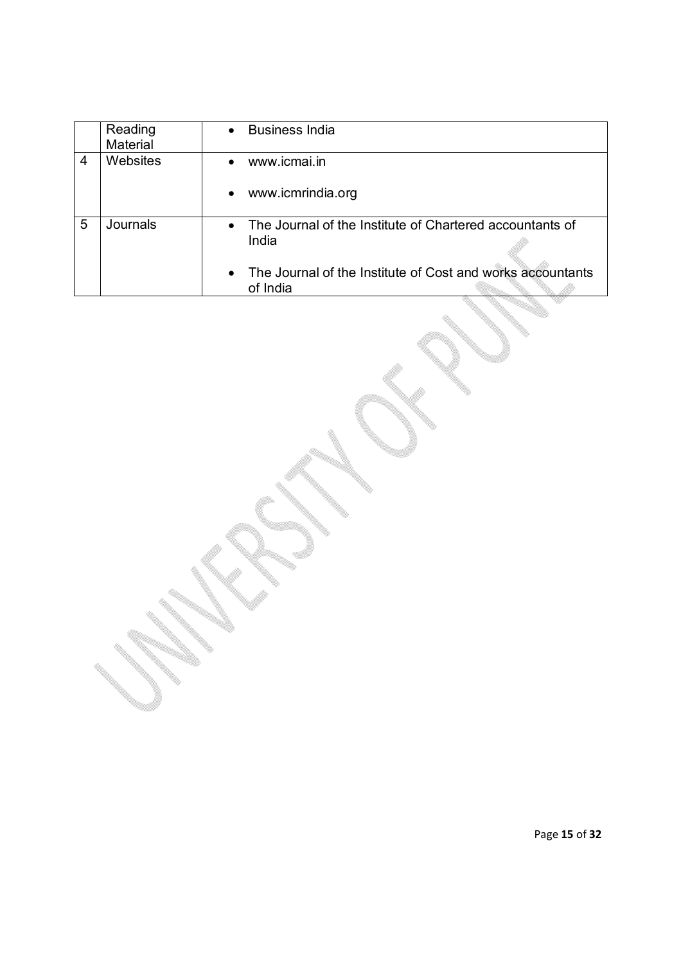|   | Reading<br><b>Material</b> | <b>Business India</b><br>$\bullet$                                     |
|---|----------------------------|------------------------------------------------------------------------|
| 4 | Websites                   | www.icmai.in<br>www.icmrindia.org                                      |
|   |                            |                                                                        |
| 5 | Journals                   | The Journal of the Institute of Chartered accountants of<br>India      |
|   |                            | The Journal of the Institute of Cost and works accountants<br>of India |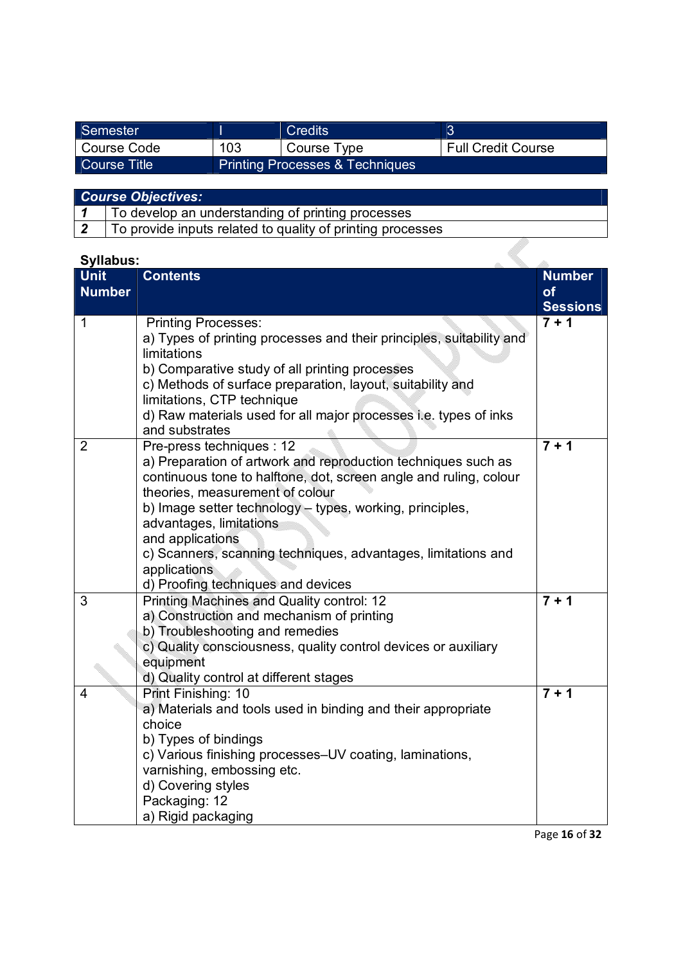| Semester            |     | <b>Credits</b>                             |                           |
|---------------------|-----|--------------------------------------------|---------------------------|
| Course Code         | 103 | ' Course Type                              | <b>Full Credit Course</b> |
| <b>Course Title</b> |     | <b>Printing Processes &amp; Techniques</b> |                           |

| <b>Course Objectives:</b> |  |  |  |  |
|---------------------------|--|--|--|--|
|---------------------------|--|--|--|--|

2 To provide inputs related to quality of printing processes

# **Syllabus:**

| <b>Syllabus:</b> |                                                                      |                 |
|------------------|----------------------------------------------------------------------|-----------------|
| <b>Unit</b>      | <b>Contents</b>                                                      | <b>Number</b>   |
| <b>Number</b>    |                                                                      | of              |
|                  |                                                                      | <b>Sessions</b> |
| $\mathbf{1}$     | <b>Printing Processes:</b>                                           | $7 + 1$         |
|                  | a) Types of printing processes and their principles, suitability and |                 |
|                  | limitations                                                          |                 |
|                  | b) Comparative study of all printing processes                       |                 |
|                  | c) Methods of surface preparation, layout, suitability and           |                 |
|                  | limitations, CTP technique                                           |                 |
|                  | d) Raw materials used for all major processes i.e. types of inks     |                 |
|                  | and substrates                                                       |                 |
| $\overline{2}$   | Pre-press techniques : 12                                            | $7 + 1$         |
|                  | a) Preparation of artwork and reproduction techniques such as        |                 |
|                  | continuous tone to halftone, dot, screen angle and ruling, colour    |                 |
|                  | theories, measurement of colour                                      |                 |
|                  | b) Image setter technology - types, working, principles,             |                 |
|                  | advantages, limitations                                              |                 |
|                  | and applications                                                     |                 |
|                  | c) Scanners, scanning techniques, advantages, limitations and        |                 |
|                  | applications                                                         |                 |
|                  | d) Proofing techniques and devices                                   |                 |
| 3                | <b>Printing Machines and Quality control: 12</b>                     | $7 + 1$         |
|                  | a) Construction and mechanism of printing                            |                 |
|                  | b) Troubleshooting and remedies                                      |                 |
|                  | c) Quality consciousness, quality control devices or auxiliary       |                 |
|                  | equipment                                                            |                 |
|                  | d) Quality control at different stages                               |                 |
| 4                | Print Finishing: 10                                                  | $7 + 1$         |
|                  | a) Materials and tools used in binding and their appropriate         |                 |
|                  | choice                                                               |                 |
|                  | b) Types of bindings                                                 |                 |
|                  | c) Various finishing processes-UV coating, laminations,              |                 |
|                  | varnishing, embossing etc.                                           |                 |
|                  | d) Covering styles                                                   |                 |
|                  | Packaging: 12                                                        |                 |
|                  | a) Rigid packaging                                                   |                 |

Page **16** of **32**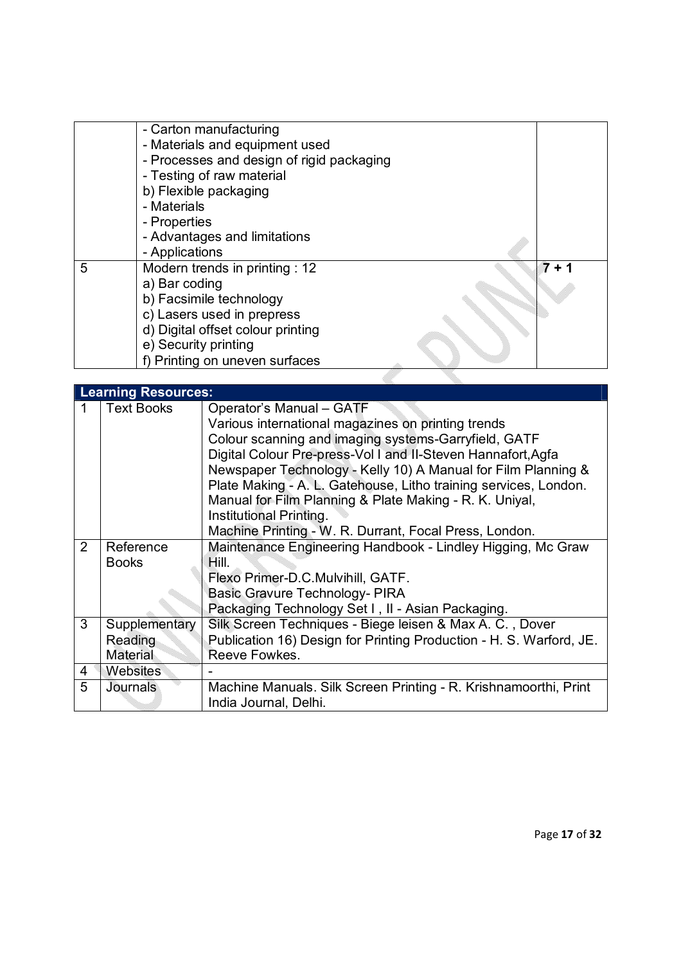|   | - Carton manufacturing                    |  |     |
|---|-------------------------------------------|--|-----|
|   | - Materials and equipment used            |  |     |
|   | - Processes and design of rigid packaging |  |     |
|   | - Testing of raw material                 |  |     |
|   | b) Flexible packaging                     |  |     |
|   | - Materials                               |  |     |
|   | - Properties                              |  |     |
|   | - Advantages and limitations              |  |     |
|   | - Applications                            |  |     |
| 5 | Modern trends in printing : 12            |  | 7 + |
|   | a) Bar coding                             |  |     |
|   | b) Facsimile technology                   |  |     |
|   | c) Lasers used in prepress                |  |     |
|   | d) Digital offset colour printing         |  |     |
|   | e) Security printing                      |  |     |
|   |                                           |  |     |
|   | f) Printing on uneven surfaces            |  |     |
|   |                                           |  |     |

|                | <b>Learning Resources:</b>                  |                                                                                                                                                                                                                                                                                                                                                                                                                                                                                             |
|----------------|---------------------------------------------|---------------------------------------------------------------------------------------------------------------------------------------------------------------------------------------------------------------------------------------------------------------------------------------------------------------------------------------------------------------------------------------------------------------------------------------------------------------------------------------------|
|                | <b>Text Books</b>                           | Operator's Manual - GATF<br>Various international magazines on printing trends<br>Colour scanning and imaging systems-Garryfield, GATF<br>Digital Colour Pre-press-Vol I and II-Steven Hannafort, Agfa<br>Newspaper Technology - Kelly 10) A Manual for Film Planning &<br>Plate Making - A. L. Gatehouse, Litho training services, London.<br>Manual for Film Planning & Plate Making - R. K. Uniyal,<br>Institutional Printing.<br>Machine Printing - W. R. Durrant, Focal Press, London. |
| $\overline{2}$ | Reference<br><b>Books</b>                   | Maintenance Engineering Handbook - Lindley Higging, Mc Graw<br>Hill.<br>Flexo Primer-D.C.Mulvihill, GATF.<br>Basic Gravure Technology- PIRA<br>Packaging Technology Set I, II - Asian Packaging.                                                                                                                                                                                                                                                                                            |
| 3              | Supplementary<br>Reading<br><b>Material</b> | Silk Screen Techniques - Biege leisen & Max A. C., Dover<br>Publication 16) Design for Printing Production - H. S. Warford, JE.<br>Reeve Fowkes.                                                                                                                                                                                                                                                                                                                                            |
| 4              | Websites                                    |                                                                                                                                                                                                                                                                                                                                                                                                                                                                                             |
| 5              | Journals                                    | Machine Manuals. Silk Screen Printing - R. Krishnamoorthi, Print<br>India Journal, Delhi.                                                                                                                                                                                                                                                                                                                                                                                                   |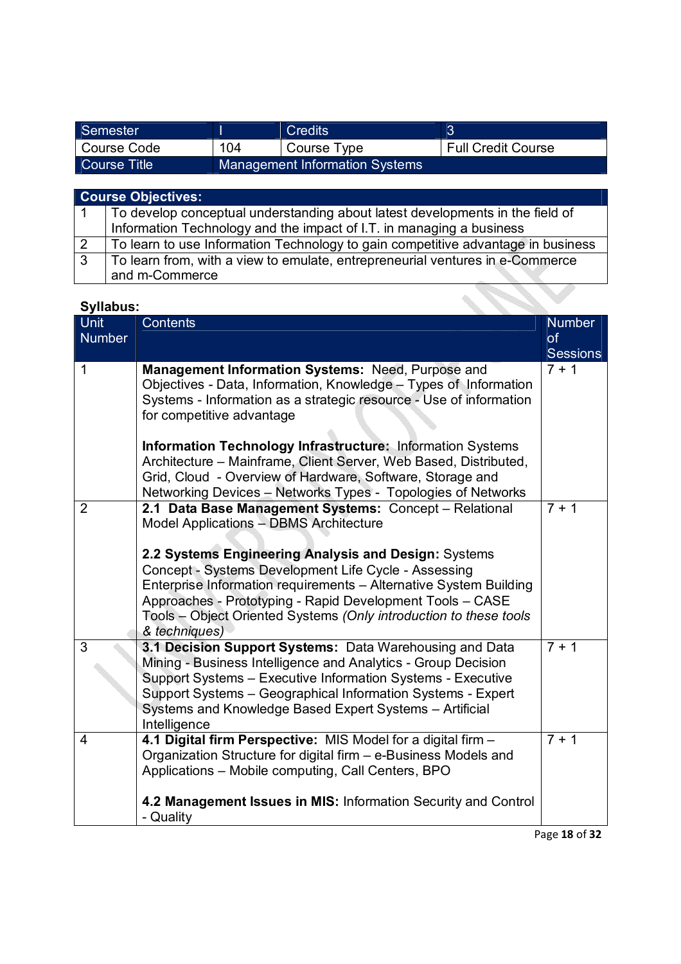| Semester     |     | Credits                               |                           |
|--------------|-----|---------------------------------------|---------------------------|
| Course Code  | 104 | Course Type                           | <b>Full Credit Course</b> |
| Course Title |     | <b>Management Information Systems</b> |                           |

|                | <b>Course Objectives:</b>                                                        |
|----------------|----------------------------------------------------------------------------------|
|                | To develop conceptual understanding about latest developments in the field of    |
|                | Information Technology and the impact of I.T. in managing a business             |
| <sup>2</sup>   | To learn to use Information Technology to gain competitive advantage in business |
| $\overline{3}$ | To learn from, with a view to emulate, entrepreneurial ventures in e-Commerce    |
|                | and m-Commerce                                                                   |

| <b>Syllabus:</b>             |                                                                                                                                                                                                                                                                                                                                      |                                               |
|------------------------------|--------------------------------------------------------------------------------------------------------------------------------------------------------------------------------------------------------------------------------------------------------------------------------------------------------------------------------------|-----------------------------------------------|
| <b>Unit</b><br><b>Number</b> | Contents                                                                                                                                                                                                                                                                                                                             | <b>Number</b><br><b>of</b><br><b>Sessions</b> |
| 1                            | Management Information Systems: Need, Purpose and<br>Objectives - Data, Information, Knowledge - Types of Information<br>Systems - Information as a strategic resource - Use of information<br>for competitive advantage                                                                                                             | $7 + 1$                                       |
|                              | Information Technology Infrastructure: Information Systems<br>Architecture - Mainframe, Client Server, Web Based, Distributed,<br>Grid, Cloud - Overview of Hardware, Software, Storage and<br>Networking Devices - Networks Types - Topologies of Networks                                                                          |                                               |
| 2                            | 2.1 Data Base Management Systems: Concept - Relational<br><b>Model Applications - DBMS Architecture</b>                                                                                                                                                                                                                              | $7 + 1$                                       |
|                              | 2.2 Systems Engineering Analysis and Design: Systems<br>Concept - Systems Development Life Cycle - Assessing<br>Enterprise Information requirements - Alternative System Building<br>Approaches - Prototyping - Rapid Development Tools - CASE<br>Tools - Object Oriented Systems (Only introduction to these tools<br>& techniques) |                                               |
| 3                            | 3.1 Decision Support Systems: Data Warehousing and Data<br>Mining - Business Intelligence and Analytics - Group Decision<br>Support Systems - Executive Information Systems - Executive<br>Support Systems - Geographical Information Systems - Expert<br>Systems and Knowledge Based Expert Systems - Artificial<br>Intelligence    | $7 + 1$                                       |
| 4                            | 4.1 Digital firm Perspective: MIS Model for a digital firm -<br>Organization Structure for digital firm - e-Business Models and<br>Applications - Mobile computing, Call Centers, BPO                                                                                                                                                | $7 + 1$                                       |
|                              | 4.2 Management Issues in MIS: Information Security and Control<br>- Quality                                                                                                                                                                                                                                                          |                                               |

Page **18** of **32**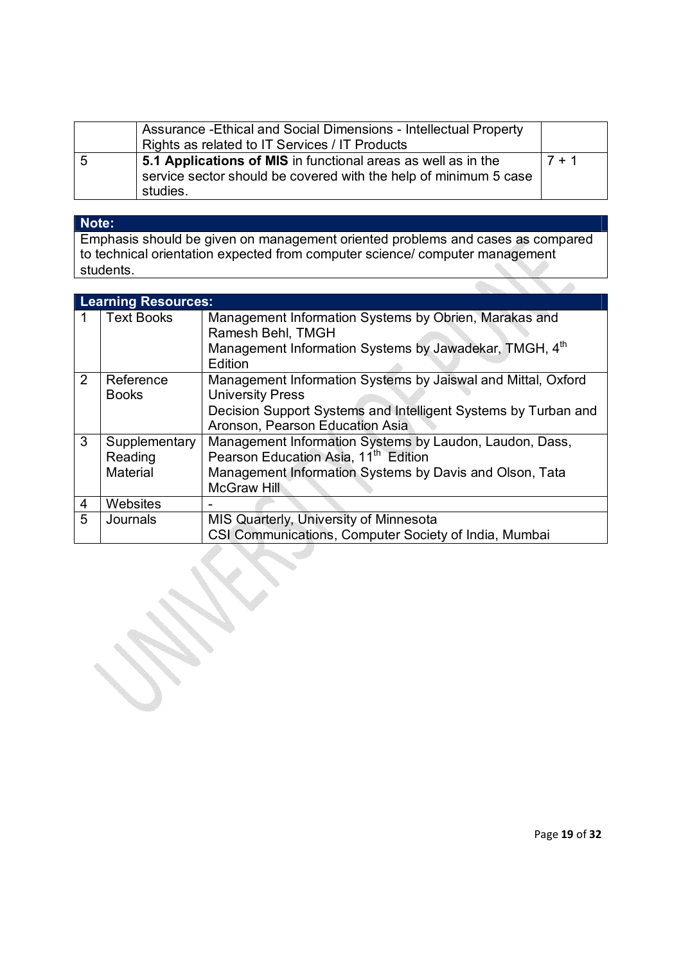|   | Assurance - Ethical and Social Dimensions - Intellectual Property<br>Rights as related to IT Services / IT Products                           |          |
|---|-----------------------------------------------------------------------------------------------------------------------------------------------|----------|
| 5 | 5.1 Applications of MIS in functional areas as well as in the<br>service sector should be covered with the help of minimum 5 case<br>studies. | $17 + 1$ |

# **Note:**

Emphasis should be given on management oriented problems and cases as compared to technical orientation expected from computer science/ computer management students.

|                | <b>Learning Resources:</b>           |                                                                                                                                                                                              |  |  |  |
|----------------|--------------------------------------|----------------------------------------------------------------------------------------------------------------------------------------------------------------------------------------------|--|--|--|
|                | <b>Text Books</b>                    | Management Information Systems by Obrien, Marakas and<br>Ramesh Behl, TMGH<br>Management Information Systems by Jawadekar, TMGH, 4th<br>Edition                                              |  |  |  |
| $\overline{2}$ | Reference<br><b>Books</b>            | Management Information Systems by Jaiswal and Mittal, Oxford<br><b>University Press</b><br>Decision Support Systems and Intelligent Systems by Turban and<br>Aronson, Pearson Education Asia |  |  |  |
| 3              | Supplementary<br>Reading<br>Material | Management Information Systems by Laudon, Laudon, Dass,<br>Pearson Education Asia, 11 <sup>th</sup> Edition<br>Management Information Systems by Davis and Olson, Tata<br><b>McGraw Hill</b> |  |  |  |
| 4              | Websites                             |                                                                                                                                                                                              |  |  |  |
| 5              | Journals                             | MIS Quarterly, University of Minnesota<br>CSI Communications, Computer Society of India, Mumbai                                                                                              |  |  |  |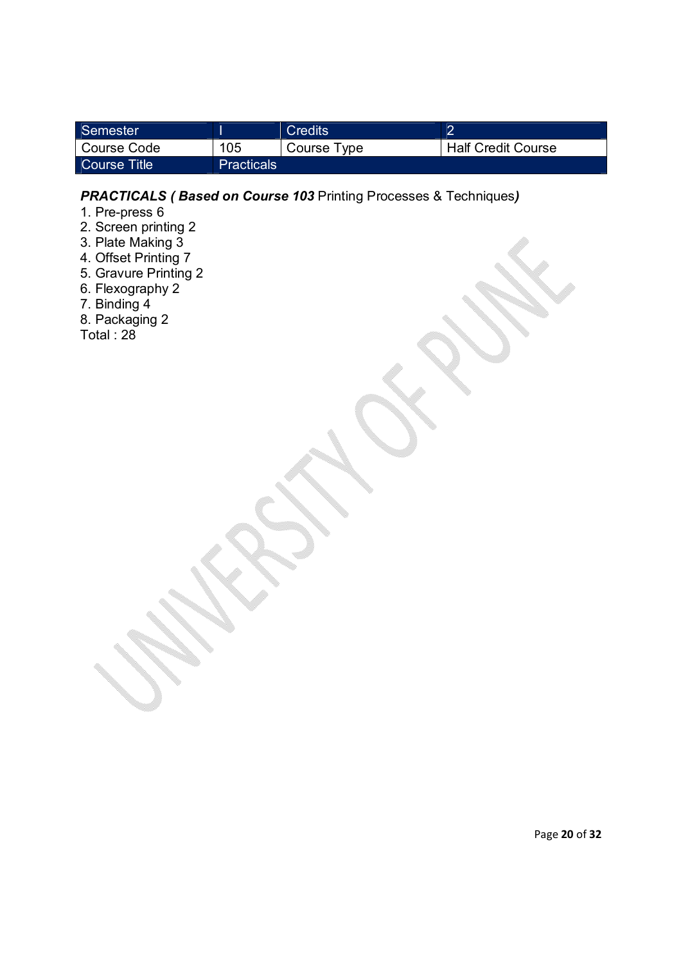| Semester         |                   | Credits     |                           |
|------------------|-------------------|-------------|---------------------------|
| Course Code      | 105               | Course Type | <b>Half Credit Course</b> |
| ∣ Course Title ∶ | <b>Practicals</b> |             |                           |

# *PRACTICALS ( Based on Course 103* Printing Processes & Techniques*)*

- 1. Pre-press 6
- 2. Screen printing 2
- 3. Plate Making 3
- 4. Offset Printing 7
- 5. Gravure Printing 2
- 6. Flexography 2
- 7. Binding 4
- 8. Packaging 2
- Total : 28

Page **20** of **32**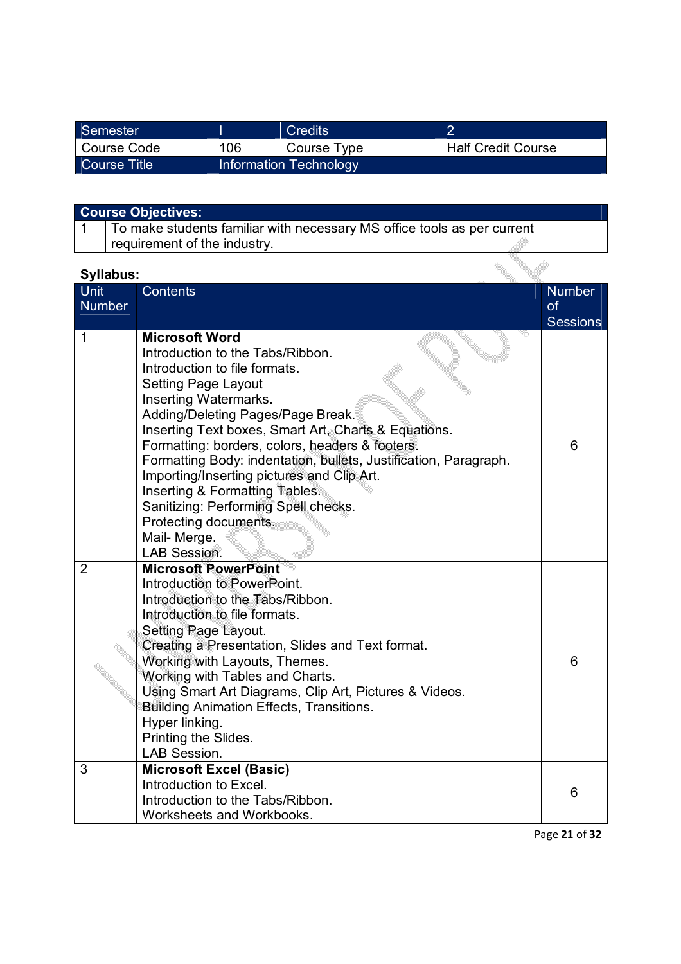| Semester     |     | <b>Credits</b>         |                           |
|--------------|-----|------------------------|---------------------------|
| Course Code  | 106 | Course Type            | <b>Half Credit Course</b> |
| Course Title |     | Information Technology |                           |

| <b>Course Objectives:</b> |  |
|---------------------------|--|
|---------------------------|--|

1 To make students familiar with necessary MS office tools as per current requirement of the industry.

# **Syllabus:**

| Unit           | <b>Contents</b>                                                                                                                                                                                                                                                                                                                                                                                                                                                                                                                                       | <b>Number</b>   |
|----------------|-------------------------------------------------------------------------------------------------------------------------------------------------------------------------------------------------------------------------------------------------------------------------------------------------------------------------------------------------------------------------------------------------------------------------------------------------------------------------------------------------------------------------------------------------------|-----------------|
| <b>Number</b>  |                                                                                                                                                                                                                                                                                                                                                                                                                                                                                                                                                       | <b>of</b>       |
|                |                                                                                                                                                                                                                                                                                                                                                                                                                                                                                                                                                       | <b>Sessions</b> |
| 1              | <b>Microsoft Word</b><br>Introduction to the Tabs/Ribbon.<br>Introduction to file formats.<br><b>Setting Page Layout</b><br>Inserting Watermarks.<br>Adding/Deleting Pages/Page Break.<br>Inserting Text boxes, Smart Art, Charts & Equations.<br>Formatting: borders, colors, headers & footers.<br>Formatting Body: indentation, bullets, Justification, Paragraph.<br>Importing/Inserting pictures and Clip Art.<br>Inserting & Formatting Tables.<br>Sanitizing: Performing Spell checks.<br>Protecting documents.<br>Mail-Merge.<br>LAB Session. | 6               |
| $\overline{2}$ | <b>Microsoft PowerPoint</b><br>Introduction to PowerPoint.<br>Introduction to the Tabs/Ribbon.<br>Introduction to file formats.<br>Setting Page Layout.<br>Creating a Presentation, Slides and Text format.<br>Working with Layouts, Themes.<br>Working with Tables and Charts.<br>Using Smart Art Diagrams, Clip Art, Pictures & Videos.<br><b>Building Animation Effects, Transitions.</b><br>Hyper linking.<br>Printing the Slides.<br>LAB Session.                                                                                                | 6               |
| 3              | <b>Microsoft Excel (Basic)</b><br>Introduction to Excel.<br>Introduction to the Tabs/Ribbon.<br>Worksheets and Workbooks.                                                                                                                                                                                                                                                                                                                                                                                                                             | 6               |

Page **21** of **32**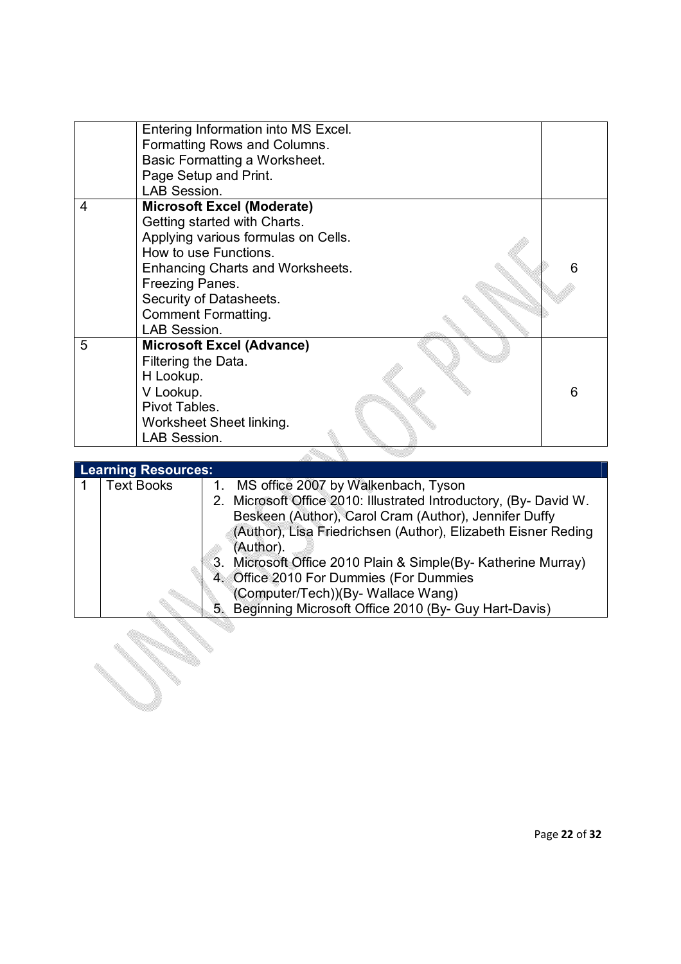|   | Entering Information into MS Excel.<br>Formatting Rows and Columns.<br>Basic Formatting a Worksheet.<br>Page Setup and Print.<br><b>LAB Session.</b>                                                                                                              |   |
|---|-------------------------------------------------------------------------------------------------------------------------------------------------------------------------------------------------------------------------------------------------------------------|---|
| 4 | <b>Microsoft Excel (Moderate)</b><br>Getting started with Charts.<br>Applying various formulas on Cells.<br>How to use Functions.<br>Enhancing Charts and Worksheets.<br>Freezing Panes.<br>Security of Datasheets.<br><b>Comment Formatting.</b><br>LAB Session. |   |
| 5 | <b>Microsoft Excel (Advance)</b><br>Filtering the Data.<br>H Lookup.<br>V Lookup.<br>Pivot Tables.<br>Worksheet Sheet linking.<br>LAB Session.                                                                                                                    | 6 |
|   |                                                                                                                                                                                                                                                                   |   |

| <b>Learning Resources:</b> |                                                                   |  |  |  |
|----------------------------|-------------------------------------------------------------------|--|--|--|
| <b>Text Books</b>          | MS office 2007 by Walkenbach, Tyson<br>1.                         |  |  |  |
|                            | 2. Microsoft Office 2010: Illustrated Introductory, (By- David W. |  |  |  |
|                            | Beskeen (Author), Carol Cram (Author), Jennifer Duffy             |  |  |  |
|                            | (Author), Lisa Friedrichsen (Author), Elizabeth Eisner Reding     |  |  |  |
|                            | (Author).                                                         |  |  |  |
|                            | Microsoft Office 2010 Plain & Simple (By- Katherine Murray)<br>3. |  |  |  |
|                            | 4. Office 2010 For Dummies (For Dummies                           |  |  |  |
|                            | (Computer/Tech))(By-Wallace Wang)                                 |  |  |  |
|                            | Beginning Microsoft Office 2010 (By- Guy Hart-Davis)<br>5.        |  |  |  |
|                            |                                                                   |  |  |  |
|                            |                                                                   |  |  |  |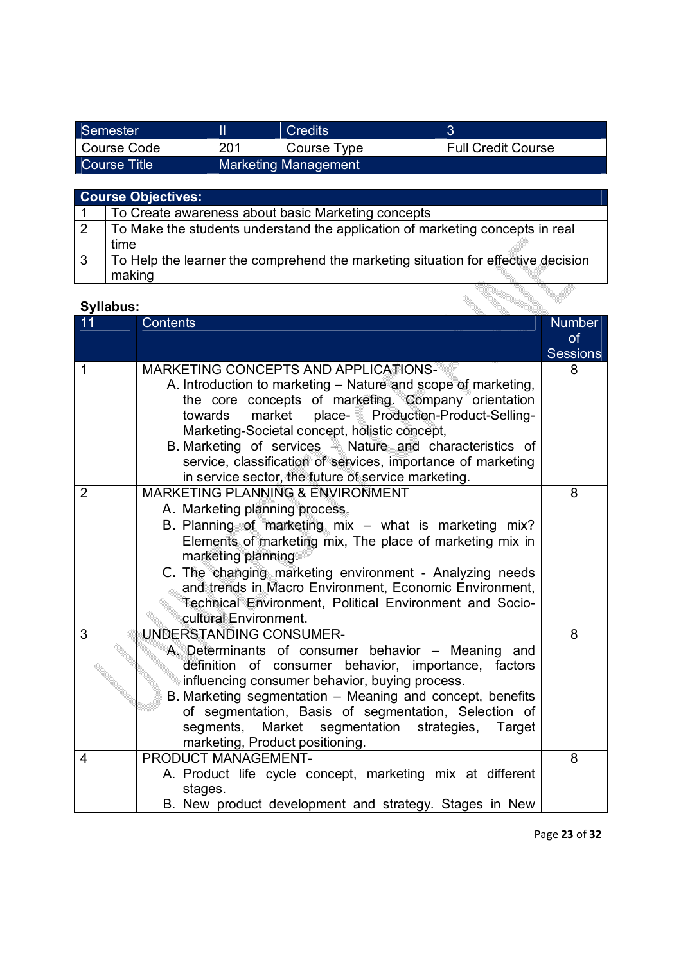| Semester     |     | Credits                     |                           |
|--------------|-----|-----------------------------|---------------------------|
| Course Code  | 201 | Course Type                 | <b>Full Credit Course</b> |
| Course Title |     | <b>Marketing Management</b> |                           |

|                | <b>Course Objectives:</b>                                                         |  |  |  |
|----------------|-----------------------------------------------------------------------------------|--|--|--|
|                | To Create awareness about basic Marketing concepts                                |  |  |  |
| $\overline{2}$ | To Make the students understand the application of marketing concepts in real     |  |  |  |
|                | time                                                                              |  |  |  |
| -3             | To Help the learner the comprehend the marketing situation for effective decision |  |  |  |
|                | making                                                                            |  |  |  |
|                |                                                                                   |  |  |  |
|                | Syllabus:                                                                         |  |  |  |

| Syllabus:      |                                                                                                                                                                                                                                                                                                                                                                                                                                                             |                                               |
|----------------|-------------------------------------------------------------------------------------------------------------------------------------------------------------------------------------------------------------------------------------------------------------------------------------------------------------------------------------------------------------------------------------------------------------------------------------------------------------|-----------------------------------------------|
| 11             | <b>Contents</b>                                                                                                                                                                                                                                                                                                                                                                                                                                             | <b>Number</b><br><b>of</b><br><b>Sessions</b> |
| 1              | MARKETING CONCEPTS AND APPLICATIONS-<br>A. Introduction to marketing - Nature and scope of marketing,<br>the core concepts of marketing. Company orientation<br>market<br>place- Production-Product-Selling-<br>towards<br>Marketing-Societal concept, holistic concept,<br>B. Marketing of services - Nature and characteristics of<br>service, classification of services, importance of marketing<br>in service sector, the future of service marketing. | 8                                             |
| $\overline{2}$ | <b>MARKETING PLANNING &amp; ENVIRONMENT</b><br>A. Marketing planning process.<br>B. Planning of marketing mix - what is marketing mix?<br>Elements of marketing mix, The place of marketing mix in<br>marketing planning.<br>C. The changing marketing environment - Analyzing needs<br>and trends in Macro Environment, Economic Environment,<br>Technical Environment, Political Environment and Socio-<br>cultural Environment.                          | 8                                             |
| $\overline{3}$ | UNDERSTANDING CONSUMER-<br>A. Determinants of consumer behavior - Meaning and<br>definition of consumer behavior, importance, factors<br>influencing consumer behavior, buying process.<br>B. Marketing segmentation - Meaning and concept, benefits<br>of segmentation, Basis of segmentation, Selection of<br>segments, Market segmentation strategies,<br>Target<br>marketing, Product positioning.                                                      | 8                                             |
| 4              | PRODUCT MANAGEMENT-<br>A. Product life cycle concept, marketing mix at different<br>stages.<br>B. New product development and strategy. Stages in New                                                                                                                                                                                                                                                                                                       | 8                                             |

Page **23** of **32**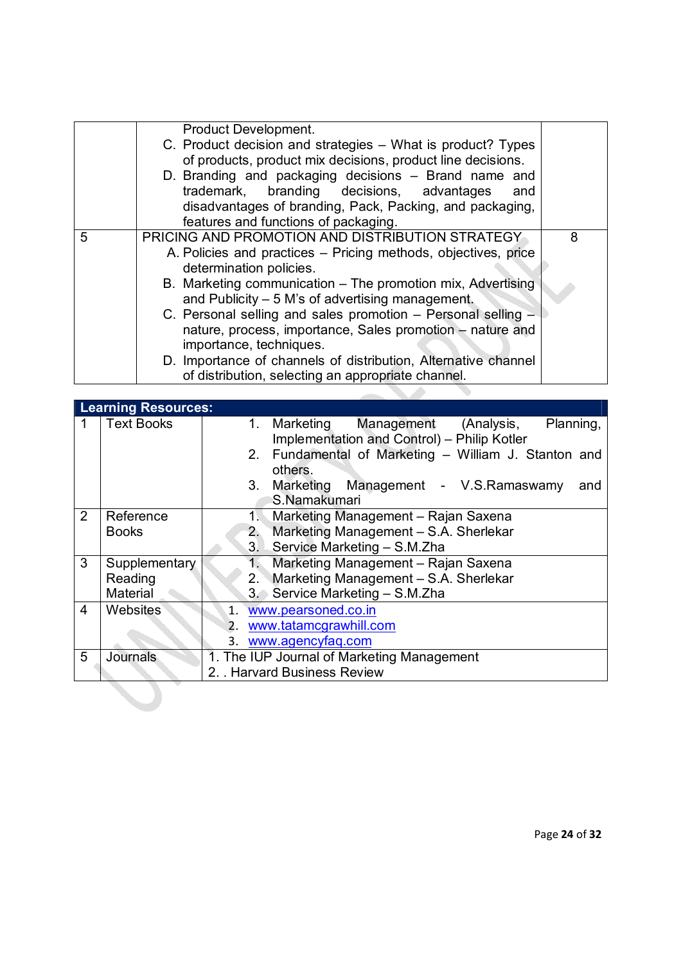| PRICING AND PROMOTION AND DISTRIBUTION STRATEGY<br>5<br>8<br>A. Policies and practices – Pricing methods, objectives, price<br>determination policies.<br>B. Marketing communication – The promotion mix, Advertising<br>and Publicity – 5 M's of advertising management.<br>C. Personal selling and sales promotion – Personal selling –<br>nature, process, importance, Sales promotion – nature and<br>importance, techniques. | Product Development.<br>C. Product decision and strategies - What is product? Types<br>of products, product mix decisions, product line decisions.<br>D. Branding and packaging decisions - Brand name and<br>trademark, branding decisions, advantages<br>and<br>disadvantages of branding, Pack, Packing, and packaging,<br>features and functions of packaging. |  |
|-----------------------------------------------------------------------------------------------------------------------------------------------------------------------------------------------------------------------------------------------------------------------------------------------------------------------------------------------------------------------------------------------------------------------------------|--------------------------------------------------------------------------------------------------------------------------------------------------------------------------------------------------------------------------------------------------------------------------------------------------------------------------------------------------------------------|--|
| of distribution, selecting an appropriate channel.                                                                                                                                                                                                                                                                                                                                                                                | D. Importance of channels of distribution, Alternative channel                                                                                                                                                                                                                                                                                                     |  |

|             | <b>Learning Resources:</b> |                                                                                                   |  |  |  |
|-------------|----------------------------|---------------------------------------------------------------------------------------------------|--|--|--|
| $\mathbf 1$ | <b>Text Books</b>          | Management (Analysis,<br>Planning,<br>1. Marketing<br>Implementation and Control) - Philip Kotler |  |  |  |
|             |                            | 2. Fundamental of Marketing - William J. Stanton and<br>others.                                   |  |  |  |
|             |                            | 3. Marketing Management - V.S.Ramaswamy<br>and                                                    |  |  |  |
|             |                            | S.Namakumari                                                                                      |  |  |  |
| 2           | Reference                  | $1\%$<br>Marketing Management - Rajan Saxena                                                      |  |  |  |
|             | <b>Books</b>               | Marketing Management - S.A. Sherlekar<br>2.                                                       |  |  |  |
|             |                            | 3. Service Marketing - S.M.Zha                                                                    |  |  |  |
| 3           | Supplementary              | Marketing Management - Rajan Saxena<br>T.                                                         |  |  |  |
|             | Reading                    | Marketing Management - S.A. Sherlekar<br>2.                                                       |  |  |  |
|             | Material                   | 3. Service Marketing - S.M.Zha                                                                    |  |  |  |
| 4           | Websites                   | www.pearsoned.co.in<br>$1_{-}$                                                                    |  |  |  |
|             |                            | www.tatamcgrawhill.com<br>2.                                                                      |  |  |  |
|             |                            | 3. www.agencyfaq.com                                                                              |  |  |  |
| 5           | Journals                   | 1. The IUP Journal of Marketing Management                                                        |  |  |  |
|             |                            | 2. . Harvard Business Review                                                                      |  |  |  |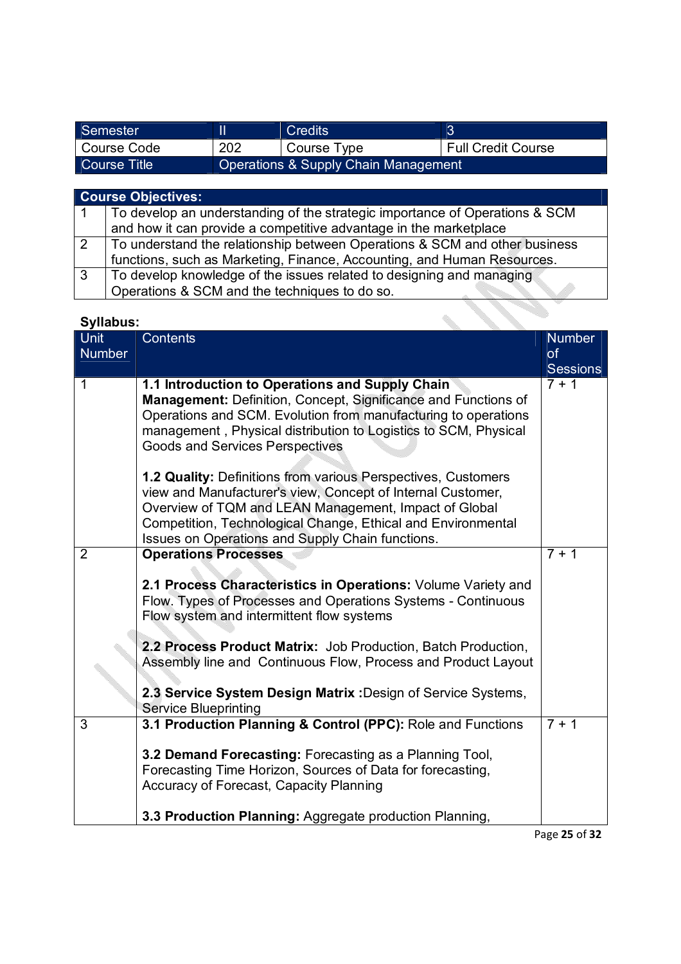| Semester     |     | <b>Credits</b>                                  |                           |
|--------------|-----|-------------------------------------------------|---------------------------|
| Course Code  | 202 | Course Type                                     | <b>Full Credit Course</b> |
| Course Title |     | <b>Operations &amp; Supply Chain Management</b> |                           |

|                | <b>Course Objectives:</b>                                                   |  |  |  |
|----------------|-----------------------------------------------------------------------------|--|--|--|
|                | To develop an understanding of the strategic importance of Operations & SCM |  |  |  |
|                | and how it can provide a competitive advantage in the marketplace           |  |  |  |
| $\sqrt{2}$     | To understand the relationship between Operations & SCM and other business  |  |  |  |
|                | functions, such as Marketing, Finance, Accounting, and Human Resources.     |  |  |  |
| $\overline{3}$ | To develop knowledge of the issues related to designing and managing        |  |  |  |
|                | Operations & SCM and the techniques to do so.                               |  |  |  |

| <b>Unit</b><br><b>Number</b> | Contents                                                                                                                                                                                                                                                                                                  | <b>Number</b><br><b>of</b> |
|------------------------------|-----------------------------------------------------------------------------------------------------------------------------------------------------------------------------------------------------------------------------------------------------------------------------------------------------------|----------------------------|
|                              |                                                                                                                                                                                                                                                                                                           | <b>Sessions</b>            |
| 1                            | 1.1 Introduction to Operations and Supply Chain<br>Management: Definition, Concept, Significance and Functions of<br>Operations and SCM. Evolution from manufacturing to operations<br>management, Physical distribution to Logistics to SCM, Physical<br><b>Goods and Services Perspectives</b>          | $7 + 1$                    |
|                              | 1.2 Quality: Definitions from various Perspectives, Customers<br>view and Manufacturer's view, Concept of Internal Customer,<br>Overview of TQM and LEAN Management, Impact of Global<br>Competition, Technological Change, Ethical and Environmental<br>Issues on Operations and Supply Chain functions. |                            |
| $\overline{2}$               | <b>Operations Processes</b>                                                                                                                                                                                                                                                                               | $7 + 1$                    |
|                              | 2.1 Process Characteristics in Operations: Volume Variety and<br>Flow. Types of Processes and Operations Systems - Continuous<br>Flow system and intermittent flow systems                                                                                                                                |                            |
|                              | 2.2 Process Product Matrix: Job Production, Batch Production,<br>Assembly line and Continuous Flow, Process and Product Layout                                                                                                                                                                            |                            |
|                              | 2.3 Service System Design Matrix : Design of Service Systems,<br><b>Service Blueprinting</b>                                                                                                                                                                                                              |                            |
| 3                            | 3.1 Production Planning & Control (PPC): Role and Functions                                                                                                                                                                                                                                               | $7 + 1$                    |
|                              | 3.2 Demand Forecasting: Forecasting as a Planning Tool,<br>Forecasting Time Horizon, Sources of Data for forecasting,<br>Accuracy of Forecast, Capacity Planning                                                                                                                                          |                            |
|                              | 3.3 Production Planning: Aggregate production Planning,                                                                                                                                                                                                                                                   |                            |

Page **25** of **32**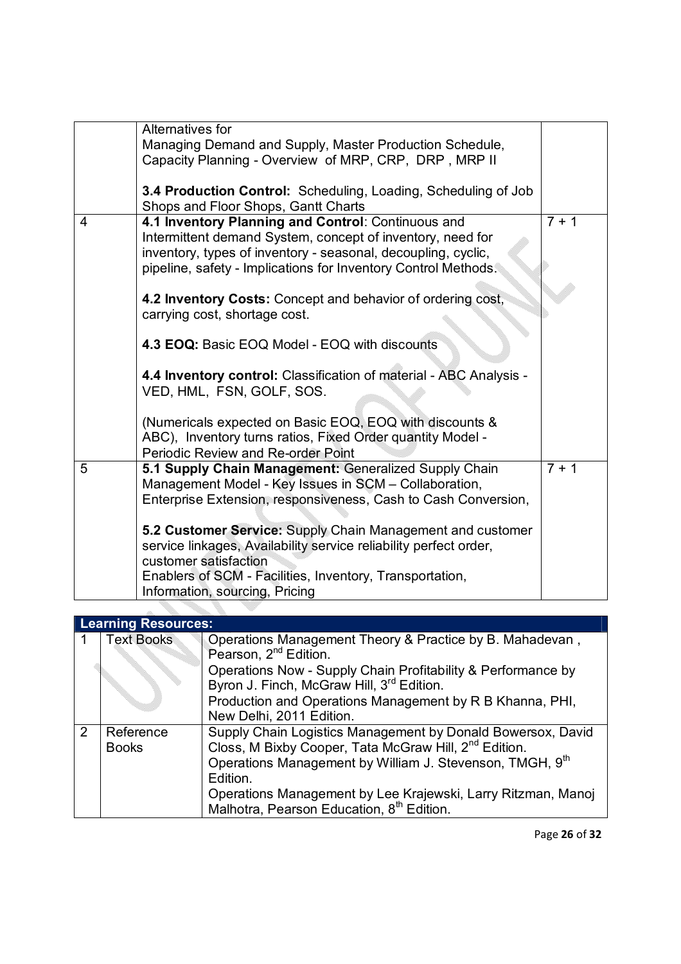|   | Alternatives for                                                   |                 |
|---|--------------------------------------------------------------------|-----------------|
|   | Managing Demand and Supply, Master Production Schedule,            |                 |
|   | Capacity Planning - Overview of MRP, CRP, DRP, MRP II              |                 |
|   |                                                                    |                 |
|   | 3.4 Production Control: Scheduling, Loading, Scheduling of Job     |                 |
|   | Shops and Floor Shops, Gantt Charts                                |                 |
|   |                                                                    | $\frac{1}{7+1}$ |
| 4 | 4.1 Inventory Planning and Control: Continuous and                 |                 |
|   | Intermittent demand System, concept of inventory, need for         |                 |
|   | inventory, types of inventory - seasonal, decoupling, cyclic,      |                 |
|   | pipeline, safety - Implications for Inventory Control Methods.     |                 |
|   |                                                                    |                 |
|   | 4.2 Inventory Costs: Concept and behavior of ordering cost,        |                 |
|   | carrying cost, shortage cost.                                      |                 |
|   |                                                                    |                 |
|   | 4.3 EOQ: Basic EOQ Model - EOQ with discounts                      |                 |
|   |                                                                    |                 |
|   | 4.4 Inventory control: Classification of material - ABC Analysis - |                 |
|   | VED, HML, FSN, GOLF, SOS.                                          |                 |
|   |                                                                    |                 |
|   |                                                                    |                 |
|   | (Numericals expected on Basic EOQ, EOQ with discounts &            |                 |
|   | ABC), Inventory turns ratios, Fixed Order quantity Model -         |                 |
|   | Periodic Review and Re-order Point                                 |                 |
| 5 | 5.1 Supply Chain Management: Generalized Supply Chain              | $7 + 1$         |
|   | Management Model - Key Issues in SCM - Collaboration,              |                 |
|   | Enterprise Extension, responsiveness, Cash to Cash Conversion,     |                 |
|   |                                                                    |                 |
|   | 5.2 Customer Service: Supply Chain Management and customer         |                 |
|   | service linkages, Availability service reliability perfect order,  |                 |
|   |                                                                    |                 |
|   | customer satisfaction                                              |                 |
|   | Enablers of SCM - Facilities, Inventory, Transportation,           |                 |
|   | Information, sourcing, Pricing                                     |                 |

|               | <b>Learning Resources:</b> |                                                                   |  |  |  |
|---------------|----------------------------|-------------------------------------------------------------------|--|--|--|
|               | <b>Text Books</b>          | Operations Management Theory & Practice by B. Mahadevan,          |  |  |  |
|               |                            | Pearson, 2 <sup>nd</sup> Edition.                                 |  |  |  |
|               |                            | Operations Now - Supply Chain Profitability & Performance by      |  |  |  |
|               |                            | Byron J. Finch, McGraw Hill, 3rd Edition.                         |  |  |  |
|               |                            | Production and Operations Management by R B Khanna, PHI,          |  |  |  |
|               |                            | New Delhi, 2011 Edition.                                          |  |  |  |
| $\mathcal{P}$ | Reference                  | Supply Chain Logistics Management by Donald Bowersox, David       |  |  |  |
|               | <b>Books</b>               | Closs, M Bixby Cooper, Tata McGraw Hill, 2 <sup>nd</sup> Edition. |  |  |  |
|               |                            | Operations Management by William J. Stevenson, TMGH, 9th          |  |  |  |
|               |                            | Edition.                                                          |  |  |  |
|               |                            | Operations Management by Lee Krajewski, Larry Ritzman, Manoi      |  |  |  |
|               |                            | Malhotra, Pearson Education, 8 <sup>th</sup> Edition.             |  |  |  |

Page **26** of **32**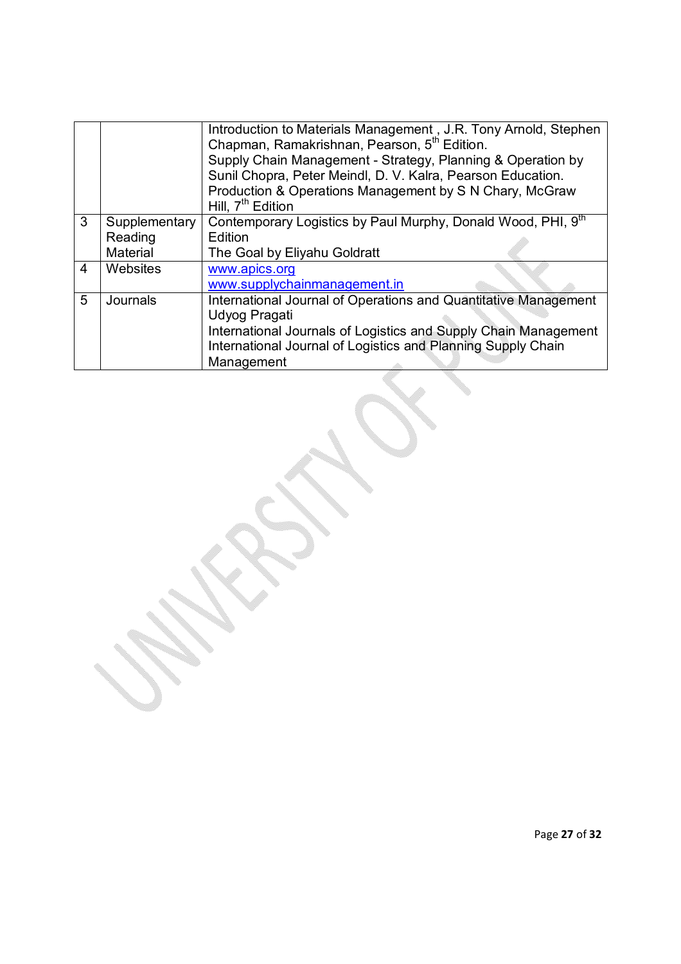|   |               | Introduction to Materials Management, J.R. Tony Arnold, Stephen<br>Chapman, Ramakrishnan, Pearson, 5 <sup>th</sup> Edition.<br>Supply Chain Management - Strategy, Planning & Operation by<br>Sunil Chopra, Peter Meindl, D. V. Kalra, Pearson Education.<br>Production & Operations Management by S N Chary, McGraw<br>Hill, 7 <sup>th</sup> Edition |
|---|---------------|-------------------------------------------------------------------------------------------------------------------------------------------------------------------------------------------------------------------------------------------------------------------------------------------------------------------------------------------------------|
| 3 | Supplementary | Contemporary Logistics by Paul Murphy, Donald Wood, PHI, 9th                                                                                                                                                                                                                                                                                          |
|   | Reading       | Edition                                                                                                                                                                                                                                                                                                                                               |
|   | Material      | The Goal by Eliyahu Goldratt                                                                                                                                                                                                                                                                                                                          |
| 4 | Websites      | www.apics.org                                                                                                                                                                                                                                                                                                                                         |
|   |               | www.supplychainmanagement.in                                                                                                                                                                                                                                                                                                                          |
| 5 | Journals      | International Journal of Operations and Quantitative Management                                                                                                                                                                                                                                                                                       |
|   |               | Udyog Pragati                                                                                                                                                                                                                                                                                                                                         |
|   |               | International Journals of Logistics and Supply Chain Management                                                                                                                                                                                                                                                                                       |
|   |               | International Journal of Logistics and Planning Supply Chain                                                                                                                                                                                                                                                                                          |
|   |               | Management                                                                                                                                                                                                                                                                                                                                            |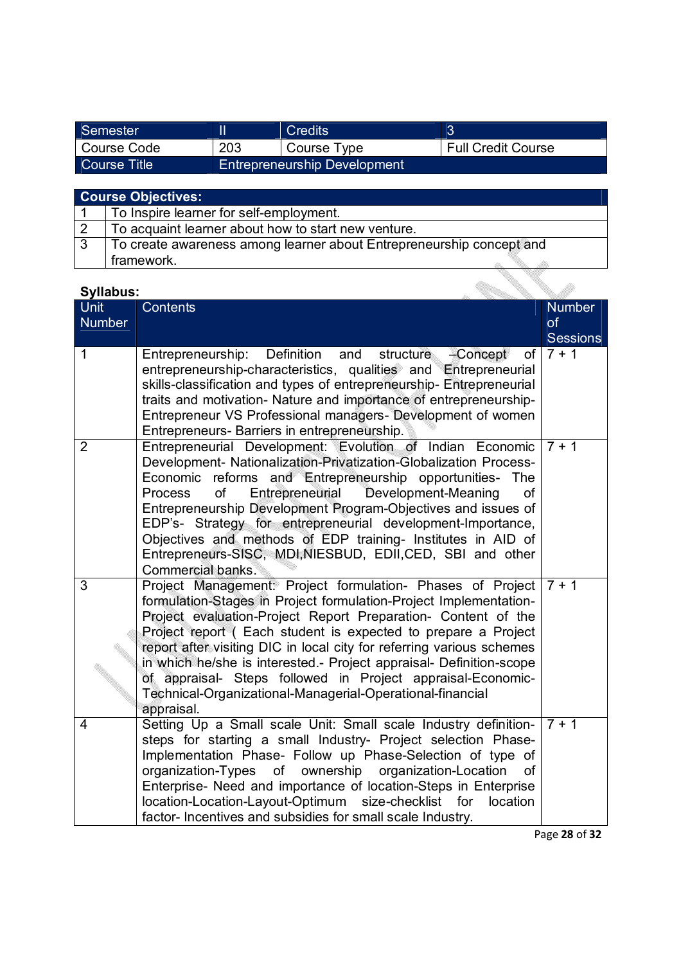| Semester     |     | Credits                             |                           |
|--------------|-----|-------------------------------------|---------------------------|
| Course Code  | 203 | Course Type                         | <b>Full Credit Course</b> |
| Course Title |     | <b>Entrepreneurship Development</b> |                           |

| <b>Course Objectives:</b> |                                                                      |  |  |
|---------------------------|----------------------------------------------------------------------|--|--|
|                           | To Inspire learner for self-employment.                              |  |  |
|                           | To acquaint learner about how to start new venture.                  |  |  |
| -3                        | To create awareness among learner about Entrepreneurship concept and |  |  |
|                           | framework.                                                           |  |  |

| oynuwuo<br><b>Unit</b> | <b>Contents</b>                                                                                                                                                                                                                                                                                                                                                                                                                                                                                                                                             | <b>Number</b>   |
|------------------------|-------------------------------------------------------------------------------------------------------------------------------------------------------------------------------------------------------------------------------------------------------------------------------------------------------------------------------------------------------------------------------------------------------------------------------------------------------------------------------------------------------------------------------------------------------------|-----------------|
| <b>Number</b>          |                                                                                                                                                                                                                                                                                                                                                                                                                                                                                                                                                             | of              |
|                        |                                                                                                                                                                                                                                                                                                                                                                                                                                                                                                                                                             | <b>Sessions</b> |
| 1                      | Definition and<br>Entrepreneurship:<br>structure<br>-Concept<br>οf<br>entrepreneurship-characteristics, qualities and Entrepreneurial<br>skills-classification and types of entrepreneurship- Entrepreneurial<br>traits and motivation- Nature and importance of entrepreneurship-<br>Entrepreneur VS Professional managers- Development of women<br>Entrepreneurs- Barriers in entrepreneurship.                                                                                                                                                           | $7 + 1$         |
| $\overline{2}$         | Entrepreneurial Development: Evolution of Indian Economic<br>Development- Nationalization-Privatization-Globalization Process-<br>Economic reforms and Entrepreneurship opportunities- The<br>Development-Meaning<br>of<br>Entrepreneurial<br><b>Process</b><br>of<br>Entrepreneurship Development Program-Objectives and issues of<br>EDP's- Strategy for entrepreneurial development-Importance,<br>Objectives and methods of EDP training- Institutes in AID of<br>Entrepreneurs-SISC, MDI, NIESBUD, EDII, CED, SBI and other<br>Commercial banks.       | $7 + 1$         |
| 3                      | Project Management: Project formulation- Phases of Project<br>formulation-Stages in Project formulation-Project Implementation-<br>Project evaluation-Project Report Preparation- Content of the<br>Project report (Each student is expected to prepare a Project<br>report after visiting DIC in local city for referring various schemes<br>in which he/she is interested.- Project appraisal- Definition-scope<br>of appraisal- Steps followed in Project appraisal-Economic-<br>Technical-Organizational-Managerial-Operational-financial<br>appraisal. | $7 + 1$         |
| 4                      | Setting Up a Small scale Unit: Small scale Industry definition-<br>steps for starting a small Industry- Project selection Phase-<br>Implementation Phase- Follow up Phase-Selection of type of<br>organization-Types of ownership organization-Location<br><b>of</b><br>Enterprise- Need and importance of location-Steps in Enterprise<br>location-Location-Layout-Optimum size-checklist<br>for<br>location<br>factor- Incentives and subsidies for small scale Industry.                                                                                 | $7 + 1$         |

Page **28** of **32**

Om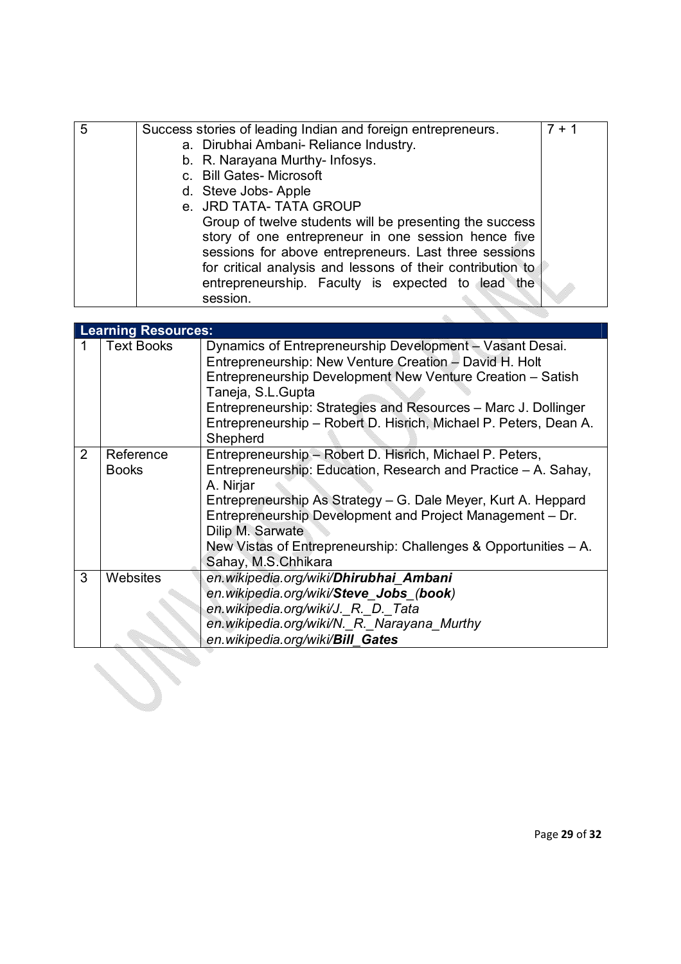| 5 | Success stories of leading Indian and foreign entrepreneurs.                                                                                                                                                                                                                                           | $7 + 1$ |
|---|--------------------------------------------------------------------------------------------------------------------------------------------------------------------------------------------------------------------------------------------------------------------------------------------------------|---------|
|   | a. Dirubhai Ambani- Reliance Industry.                                                                                                                                                                                                                                                                 |         |
|   | b. R. Narayana Murthy- Infosys.                                                                                                                                                                                                                                                                        |         |
|   | c. Bill Gates-Microsoft                                                                                                                                                                                                                                                                                |         |
|   | d. Steve Jobs-Apple                                                                                                                                                                                                                                                                                    |         |
|   | e. JRD TATA- TATA GROUP                                                                                                                                                                                                                                                                                |         |
|   | Group of twelve students will be presenting the success<br>story of one entrepreneur in one session hence five<br>sessions for above entrepreneurs. Last three sessions<br>for critical analysis and lessons of their contribution to<br>entrepreneurship. Faculty is expected to lead the<br>session. |         |
|   |                                                                                                                                                                                                                                                                                                        |         |

|   | <b>Learning Resources:</b> |                                                                                                                                                                                                                                                                                                                                                                                     |  |  |
|---|----------------------------|-------------------------------------------------------------------------------------------------------------------------------------------------------------------------------------------------------------------------------------------------------------------------------------------------------------------------------------------------------------------------------------|--|--|
|   | <b>Text Books</b>          | Dynamics of Entrepreneurship Development - Vasant Desai.<br>Entrepreneurship: New Venture Creation - David H. Holt<br>Entrepreneurship Development New Venture Creation - Satish<br>Taneja, S.L.Gupta<br>Entrepreneurship: Strategies and Resources - Marc J. Dollinger<br>Entrepreneurship - Robert D. Hisrich, Michael P. Peters, Dean A.<br>Shepherd                             |  |  |
| 2 | Reference<br><b>Books</b>  | Entrepreneurship - Robert D. Hisrich, Michael P. Peters,<br>Entrepreneurship: Education, Research and Practice – A. Sahay,<br>A. Nirjar<br>Entrepreneurship As Strategy - G. Dale Meyer, Kurt A. Heppard<br>Entrepreneurship Development and Project Management - Dr.<br>Dilip M. Sarwate<br>New Vistas of Entrepreneurship: Challenges & Opportunities - A.<br>Sahay, M.S.Chhikara |  |  |
| 3 | Websites                   | en.wikipedia.org/wiki/Dhirubhai Ambani<br>en.wikipedia.org/wiki/Steve Jobs (book)<br>en.wikipedia.org/wiki/J._R._D._Tata<br>en.wikipedia.org/wiki/N._R._Narayana_Murthy<br>en.wikipedia.org/wiki/Bill Gates                                                                                                                                                                         |  |  |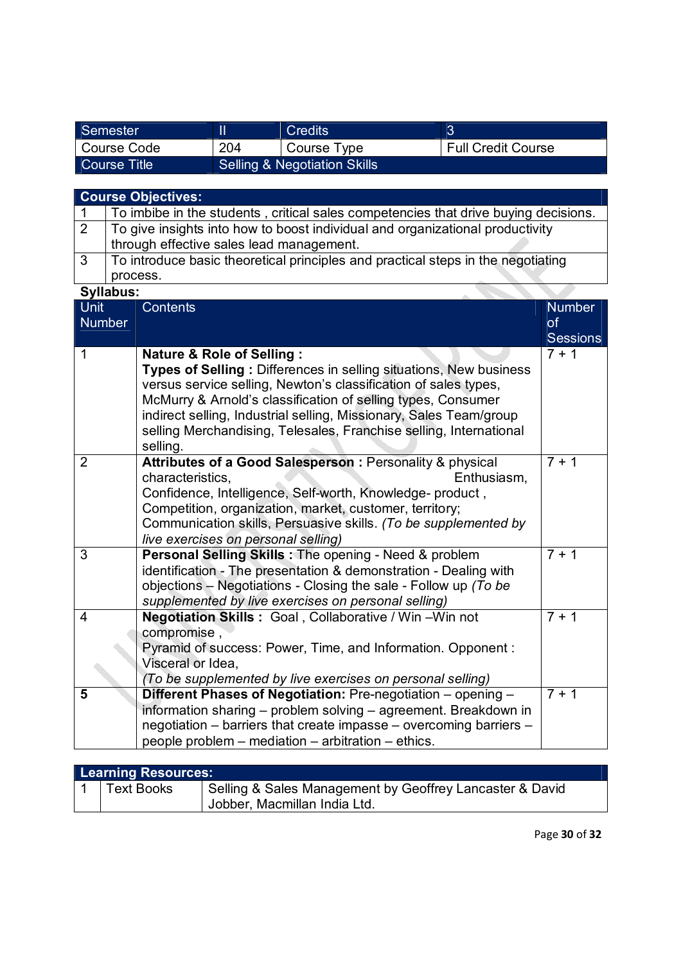| Semester     |                              | Credits     | -2                        |
|--------------|------------------------------|-------------|---------------------------|
| Course Code  | 204                          | Course Type | <b>Full Credit Course</b> |
| Course Title | Selling & Negotiation Skills |             |                           |

|                                                                 | <b>Course Objectives:</b>                                  |                                                                                     |                 |  |  |
|-----------------------------------------------------------------|------------------------------------------------------------|-------------------------------------------------------------------------------------|-----------------|--|--|
| 1                                                               |                                                            | To imbibe in the students, critical sales competencies that drive buying decisions. |                 |  |  |
| $\overline{2}$                                                  |                                                            | To give insights into how to boost individual and organizational productivity       |                 |  |  |
|                                                                 |                                                            | through effective sales lead management.                                            |                 |  |  |
| $\overline{3}$                                                  |                                                            | To introduce basic theoretical principles and practical steps in the negotiating    |                 |  |  |
|                                                                 | process.                                                   |                                                                                     |                 |  |  |
|                                                                 | Syllabus:                                                  |                                                                                     |                 |  |  |
| Unit                                                            |                                                            | <b>Contents</b>                                                                     | <b>Number</b>   |  |  |
| <b>Number</b>                                                   |                                                            |                                                                                     | of              |  |  |
|                                                                 |                                                            |                                                                                     | <b>Sessions</b> |  |  |
| 1                                                               |                                                            | <b>Nature &amp; Role of Selling:</b>                                                | $7 + 1$         |  |  |
|                                                                 |                                                            | Types of Selling: Differences in selling situations, New business                   |                 |  |  |
|                                                                 |                                                            | versus service selling, Newton's classification of sales types,                     |                 |  |  |
|                                                                 |                                                            | McMurry & Arnold's classification of selling types, Consumer                        |                 |  |  |
|                                                                 |                                                            | indirect selling, Industrial selling, Missionary, Sales Team/group                  |                 |  |  |
|                                                                 |                                                            | selling Merchandising, Telesales, Franchise selling, International                  |                 |  |  |
| selling.                                                        |                                                            | $\frac{1}{7}$ + 1                                                                   |                 |  |  |
| $\overline{2}$                                                  |                                                            | Attributes of a Good Salesperson : Personality & physical<br>characteristics,       |                 |  |  |
|                                                                 |                                                            | Enthusiasm,<br>Confidence, Intelligence, Self-worth, Knowledge- product,            |                 |  |  |
|                                                                 |                                                            | Competition, organization, market, customer, territory;                             |                 |  |  |
|                                                                 |                                                            | Communication skills, Persuasive skills. (To be supplemented by                     |                 |  |  |
| live exercises on personal selling)                             |                                                            |                                                                                     |                 |  |  |
| $\overline{3}$                                                  |                                                            | Personal Selling Skills: The opening - Need & problem                               | $7 + 1$         |  |  |
|                                                                 |                                                            | identification - The presentation & demonstration - Dealing with                    |                 |  |  |
| objections – Negotiations - Closing the sale - Follow up (To be |                                                            |                                                                                     |                 |  |  |
|                                                                 |                                                            | supplemented by live exercises on personal selling)                                 |                 |  |  |
| Negotiation Skills: Goal, Collaborative / Win-Win not<br>4      |                                                            | $7 + 1$                                                                             |                 |  |  |
|                                                                 |                                                            | compromise,                                                                         |                 |  |  |
|                                                                 |                                                            | Pyramid of success: Power, Time, and Information. Opponent:                         |                 |  |  |
| Visceral or Idea,                                               |                                                            |                                                                                     |                 |  |  |
|                                                                 | (To be supplemented by live exercises on personal selling) |                                                                                     | $7 + 1$         |  |  |
| 5                                                               |                                                            | Different Phases of Negotiation: Pre-negotiation - opening -                        |                 |  |  |
|                                                                 |                                                            | information sharing – problem solving – agreement. Breakdown in                     |                 |  |  |
|                                                                 |                                                            | negotiation – barriers that create impasse – overcoming barriers –                  |                 |  |  |
|                                                                 |                                                            | people problem – mediation – arbitration – ethics.                                  |                 |  |  |

| <b>Learning Resources:</b> |                   |                                                          |  |
|----------------------------|-------------------|----------------------------------------------------------|--|
|                            | <b>Text Books</b> | Selling & Sales Management by Geoffrey Lancaster & David |  |
|                            |                   | Jobber, Macmillan India Ltd.                             |  |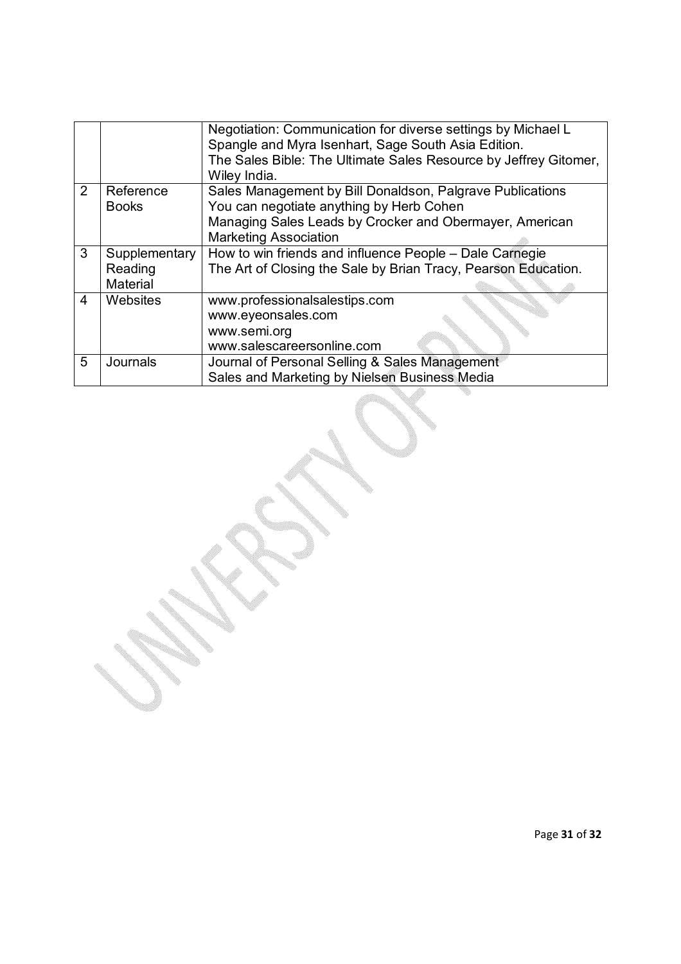|                |                                                         | Negotiation: Communication for diverse settings by Michael L<br>Spangle and Myra Isenhart, Sage South Asia Edition.<br>The Sales Bible: The Ultimate Sales Resource by Jeffrey Gitomer,<br>Wiley India. |  |  |
|----------------|---------------------------------------------------------|---------------------------------------------------------------------------------------------------------------------------------------------------------------------------------------------------------|--|--|
| $\mathcal{P}$  | Reference                                               | Sales Management by Bill Donaldson, Palgrave Publications                                                                                                                                               |  |  |
|                | <b>Books</b>                                            | You can negotiate anything by Herb Cohen                                                                                                                                                                |  |  |
|                |                                                         | Managing Sales Leads by Crocker and Obermayer, American                                                                                                                                                 |  |  |
|                |                                                         | <b>Marketing Association</b>                                                                                                                                                                            |  |  |
| 3              | How to win friends and influence People - Dale Carnegie |                                                                                                                                                                                                         |  |  |
|                | Reading                                                 | The Art of Closing the Sale by Brian Tracy, Pearson Education.                                                                                                                                          |  |  |
|                | Material                                                |                                                                                                                                                                                                         |  |  |
| $\overline{4}$ | Websites                                                | www.professionalsalestips.com                                                                                                                                                                           |  |  |
|                |                                                         | www.eyeonsales.com                                                                                                                                                                                      |  |  |
|                |                                                         | www.semi.org                                                                                                                                                                                            |  |  |
|                |                                                         |                                                                                                                                                                                                         |  |  |
|                |                                                         | www.salescareersonline.com                                                                                                                                                                              |  |  |
| 5              | Journals                                                | Journal of Personal Selling & Sales Management                                                                                                                                                          |  |  |
|                |                                                         | Sales and Marketing by Nielsen Business Media                                                                                                                                                           |  |  |
|                |                                                         |                                                                                                                                                                                                         |  |  |